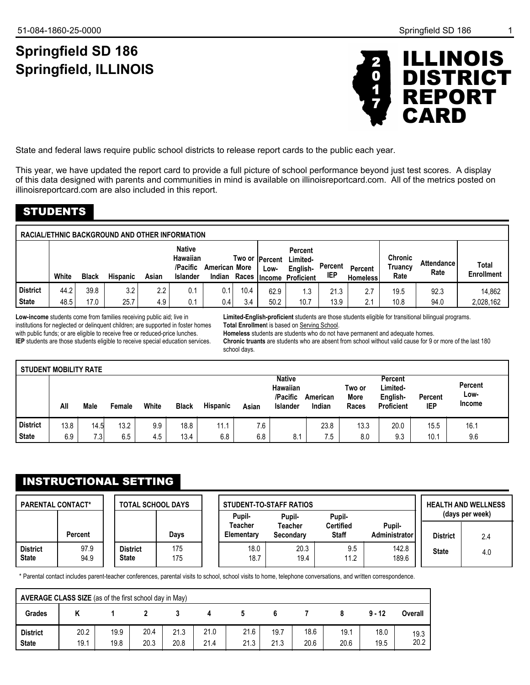# **Springfield SD 186 Springfield, ILLINOIS**



State and federal laws require public school districts to release report cards to the public each year.

This year, we have updated the report card to provide a full picture of school performance beyond just test scores. A display of this data designed with parents and communities in mind is available on illinoisreportcard.com. All of the metrics posted on illinoisreportcard.com are also included in this report.

## STUDENTS

|              |       |              | <b>RACIAL/ETHNIC BACKGROUND AND OTHER INFORMATION</b> |       |                                                          |                      |              |                         |                                                      |                |                                   |                                   |                           |                            |
|--------------|-------|--------------|-------------------------------------------------------|-------|----------------------------------------------------------|----------------------|--------------|-------------------------|------------------------------------------------------|----------------|-----------------------------------|-----------------------------------|---------------------------|----------------------------|
|              | White | <b>Black</b> | <b>Hispanic</b>                                       | Asian | <b>Native</b><br>Hawaiian<br>/Pacific<br><b>Islander</b> | <b>American More</b> | Indian Races | Two or  Percent<br>Low- | Percent<br>Limited-<br>English-<br>Income Proficient | Percent<br>IEP | <b>Percent</b><br><b>Homeless</b> | <b>Chronic</b><br>Truancv<br>Rate | <b>Attendance</b><br>Rate | Total<br><b>Enrollment</b> |
| l District   | 44.2  | 39.8         | 3.2                                                   | 2.2   | 0.1                                                      | 0.1                  | 10.4         | 62.9                    | 1.3                                                  | 21.3           | 2.7                               | 19.5                              | 92.3                      | 14.862                     |
| <b>State</b> | 48.5  | 17.0         | 25.7                                                  | 4.9   | 0.1                                                      | 0.4                  | 3.4          | 50.2                    | 10.7                                                 | 13.9           | 2.1                               | 10.8                              | 94.0                      | 2,028,162                  |

**Low-income** students come from families receiving public aid; live in institutions for neglected or delinquent children; are supported in foster homes with public funds; or are eligible to receive free or reduced-price lunches. **IEP** students are those students eligible to receive special education services.

**Limited-English-proficient** students are those students eligible for transitional bilingual programs. **Total Enrollmen**t is based on Serving School.

**Homeless** students are students who do not have permanent and adequate homes.

**Chronic truants** are students who are absent from school without valid cause for 9 or more of the last 180 school days.

| <b>STUDENT MOBILITY RATE</b> |      |      |        |       |              |                 |       |                                                   |                    |                                |                                               |                       |                           |
|------------------------------|------|------|--------|-------|--------------|-----------------|-------|---------------------------------------------------|--------------------|--------------------------------|-----------------------------------------------|-----------------------|---------------------------|
|                              | All  | Male | Female | White | <b>Black</b> | <b>Hispanic</b> | Asian | <b>Native</b><br>Hawaiian<br>/Pacific<br>Islander | American<br>Indian | Two or<br><b>More</b><br>Races | Percent<br>Limited-<br>English-<br>Proficient | Percent<br><b>IEP</b> | Percent<br>Low-<br>Income |
| <b>District</b>              | 13.8 | 14.5 | 13.2   | 9.9   | 18.8         | 11.1            | 7.6   |                                                   | 23.8               | 13.3                           | 20.0                                          | 15.5                  | 16.1                      |
| <b>State</b>                 | 6.9  | 7.3  | 6.5    | 4.5   | 13.4         | 6.8             | 6.8   | 8.1                                               | 7.5                | 8.0                            | 9.3                                           | 10.1                  | 9.6                       |

## INSTRUCTIONAL SETTING

| <b>PARENTAL CONTACT*</b>        |                | <b>TOTAL SCHOOL DAYS</b>        |            | Pupil-                | <b>STUDENT-TO-STAFF RATIOS</b><br>Pupil- | Pupil-                           |                         |                 | <b>HEALTH AND WELLNESS</b><br>(days per week) |
|---------------------------------|----------------|---------------------------------|------------|-----------------------|------------------------------------------|----------------------------------|-------------------------|-----------------|-----------------------------------------------|
|                                 | <b>Percent</b> |                                 | Davs       | Teacher<br>Elementary | Teacher<br>Secondary                     | <b>Certified</b><br><b>Staff</b> | Pupil-<br>Administrator | <b>District</b> | 2.4                                           |
| <b>District</b><br><b>State</b> | 97.9<br>94.9   | <b>District</b><br><b>State</b> | 175<br>175 | 18.0<br>18.7          | 20.3<br>19.4                             | 9.5<br>11.2                      | 142.8<br>189.6          | <b>State</b>    | 4.0                                           |

\* Parental contact includes parent-teacher conferences, parental visits to school, school visits to home, telephone conversations, and written correspondence.

|                                 | AVERAGE CLASS SIZE (as of the first school day in May) |              |              |              |              |              |              |              |              |              |              |
|---------------------------------|--------------------------------------------------------|--------------|--------------|--------------|--------------|--------------|--------------|--------------|--------------|--------------|--------------|
| <b>Grades</b>                   | r                                                      |              |              |              |              |              |              |              |              | $9 - 12$     | Overall      |
| <b>District</b><br><b>State</b> | 20.2<br>19.1                                           | 19.9<br>19.8 | 20.4<br>20.3 | 21.3<br>20.8 | 21.0<br>21.4 | 21.6<br>21.3 | 19.7<br>21.3 | 18.6<br>20.6 | 19.1<br>20.6 | 18.0<br>19.5 | 19.3<br>20.2 |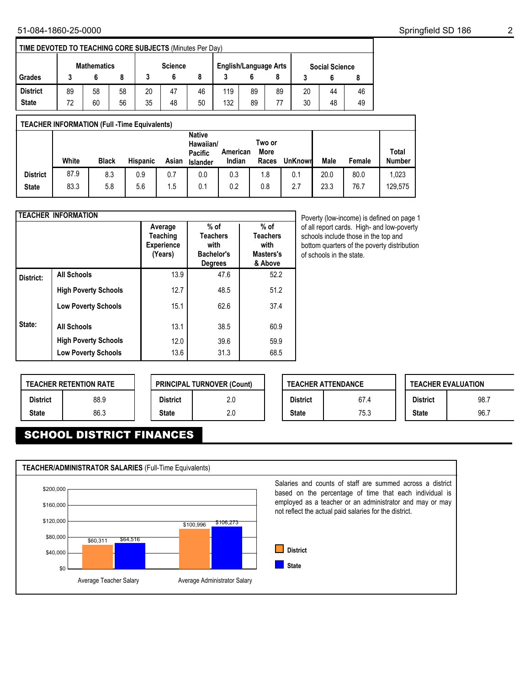| TIME DEVOTED TO TEACHING CORE SUBJECTS (Minutes Per Day) |    |             |    |    |                |    |                              |    |    |    |                       |    |
|----------------------------------------------------------|----|-------------|----|----|----------------|----|------------------------------|----|----|----|-----------------------|----|
|                                                          |    | Mathematics |    |    | <b>Science</b> |    | <b>English/Language Arts</b> |    |    |    | <b>Social Science</b> |    |
| Grades                                                   |    |             |    |    |                |    |                              |    |    |    |                       |    |
| <b>District</b>                                          | 89 | 58          | 58 | 20 | 47             | 46 | 119                          | 89 | 89 | 20 | 44                    | 46 |
| <b>State</b>                                             | 72 | 60          | 56 | 35 | 48             | 50 | 132                          | 89 | 77 | 30 | 48                    | 49 |

| <b>TEACHER INFORMATION (Full -Time Equivalents)</b> |       |              |                 |       |                                                   |                    |                         |                |      |        |                               |
|-----------------------------------------------------|-------|--------------|-----------------|-------|---------------------------------------------------|--------------------|-------------------------|----------------|------|--------|-------------------------------|
|                                                     | White | <b>Black</b> | <b>Hispanic</b> | Asian | <b>Native</b><br>Hawaiian/<br>Pacific<br>Islander | American<br>Indian | Two or<br>More<br>Races | <b>UnKnown</b> | Male | Female | <b>Total</b><br><b>Number</b> |
| <b>District</b>                                     | 87.9  | 8.3          | 0.9             | 0.7   | 0.0                                               | 0.3                | 1.8                     | 0.1            | 20.0 | 80.0   | 1,023                         |
| <b>State</b>                                        | 83.3  | 5.8          | 5.6             | 1.5   | 0.1                                               | 0.2                | 0.8                     | 2.7            | 23.3 | 76.7   | 129,575                       |

|           | <b>TEACHER INFORMATION</b>  |                                                            |                                                                   |                                                           |
|-----------|-----------------------------|------------------------------------------------------------|-------------------------------------------------------------------|-----------------------------------------------------------|
|           |                             | Average<br><b>Teaching</b><br><b>Experience</b><br>(Years) | $%$ of<br><b>Teachers</b><br>with<br>Bachelor's<br><b>Degrees</b> | $%$ of<br><b>Teachers</b><br>with<br>Masters's<br>& Above |
| District: | <b>All Schools</b>          | 13.9                                                       | 47.6                                                              | 52.2                                                      |
|           | <b>High Poverty Schools</b> | 12.7                                                       | 48.5                                                              | 51.2                                                      |
|           | <b>Low Poverty Schools</b>  | 15.1                                                       | 62.6                                                              | 37.4                                                      |
| State:    | <b>All Schools</b>          | 13.1                                                       | 38.5                                                              | 60.9                                                      |
|           | <b>High Poverty Schools</b> | 12.0                                                       | 39.6                                                              | 59.9                                                      |
|           | <b>Low Poverty Schools</b>  | 13.6                                                       | 31.3                                                              | 68.5                                                      |

Poverty (low-income) is defined on page 1 of all report cards. High- and low-poverty schools include those in the top and bottom quarters of the poverty distribution of schools in the state.

|                 | <b>TEACHER RETENTION RATE</b> |                 | <b>PRINCIPAL TURNOVER (Count)</b> |  |
|-----------------|-------------------------------|-----------------|-----------------------------------|--|
| <b>District</b> | 88.9                          | <b>District</b> | 2.0                               |  |
| <b>State</b>    | 86.3                          | <b>State</b>    | 2.0                               |  |

|                 | <b>TEACHER ATTENDANCE</b> |                 | <b>TEACHER EVALUATION</b> |
|-----------------|---------------------------|-----------------|---------------------------|
| <b>District</b> | 67.4                      | <b>District</b> | 98.7                      |
| <b>State</b>    | 75.3                      | <b>State</b>    | 96.7                      |

# SCHOOL DISTRICT FINANCES

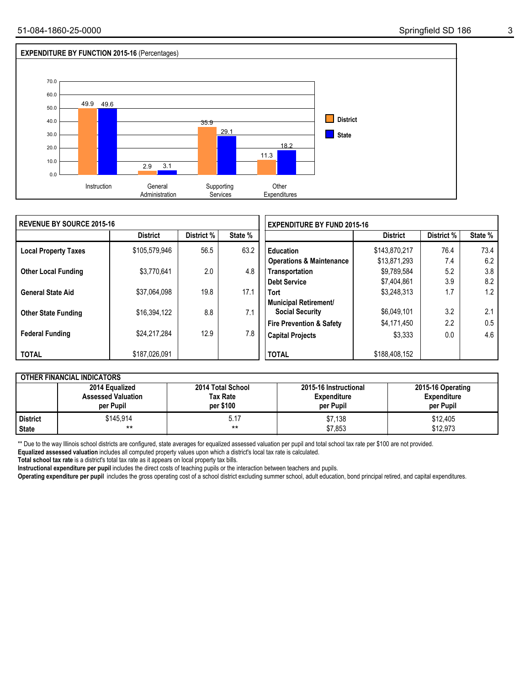

| I REVENUE BY SOURCE 2015-16 |                 |            |         | <b>EXPENDITURE BY FUND 2015-16</b>              |                 |            |         |  |  |
|-----------------------------|-----------------|------------|---------|-------------------------------------------------|-----------------|------------|---------|--|--|
|                             | <b>District</b> | District % | State % |                                                 | <b>District</b> | District % | State % |  |  |
| <b>Local Property Taxes</b> | \$105,579,946   | 56.5       | 63.2    | <b>Education</b>                                | \$143,870,217   | 76.4       | 73.4    |  |  |
|                             |                 |            |         | <b>Operations &amp; Maintenance</b>             | \$13,871,293    | 7.4        | 6.2     |  |  |
| <b>Other Local Funding</b>  | \$3.770.641     | 2.0        | 4.8     | Transportation                                  | \$9,789,584     | 5.2        | 3.8     |  |  |
|                             |                 |            |         | <b>Debt Service</b>                             | \$7,404,861     | 3.9        | 8.2     |  |  |
| <b>General State Aid</b>    | \$37.064.098    | 19.8       | 17.1    | <b>Tort</b>                                     | \$3.248.313     | 1.7        | 1.2     |  |  |
| <b>Other State Funding</b>  | \$16,394,122    | 8.8        | 7.1     | Municipal Retirement/<br><b>Social Security</b> | \$6,049,101     | 3.2        | 2.1     |  |  |
|                             |                 |            |         | <b>Fire Prevention &amp; Safety</b>             | \$4,171,450     | 2.2        | 0.5     |  |  |
| <b>Federal Funding</b>      | \$24.217.284    | 12.9       | 7.8     | <b>Capital Projects</b>                         | \$3,333         | 0.0        | 4.6     |  |  |
| <b>TOTAL</b>                | \$187,026,091   |            |         | <b>TOTAL</b>                                    | \$188,408,152   |            |         |  |  |

|              | <b>OTHER FINANCIAL INDICATORS</b>                        |                                                   |                                                          |                                                      |
|--------------|----------------------------------------------------------|---------------------------------------------------|----------------------------------------------------------|------------------------------------------------------|
|              | 2014 Equalized<br><b>Assessed Valuation</b><br>per Pupil | 2014 Total School<br><b>Tax Rate</b><br>per \$100 | 2015-16 Instructional<br><b>Expenditure</b><br>per Pupil | 2015-16 Operating<br><b>Expenditure</b><br>per Pupil |
| l District   | \$145.914                                                | 5.17                                              | \$7,138                                                  | \$12,405                                             |
| <b>State</b> | $***$                                                    | **                                                | \$7,853                                                  | \$12.973                                             |

\*\* Due to the way Illinois school districts are configured, state averages for equalized assessed valuation per pupil and total school tax rate per \$100 are not provided.

**Equalized assessed valuation** includes all computed property values upon which a district's local tax rate is calculated.

**Total school tax rate** is a district's total tax rate as it appears on local property tax bills.

**Instructional expenditure per pupil** includes the direct costs of teaching pupils or the interaction between teachers and pupils.

**Operating expenditure per pupil** includes the gross operating cost of a school district excluding summer school, adult education, bond principal retired, and capital expenditures.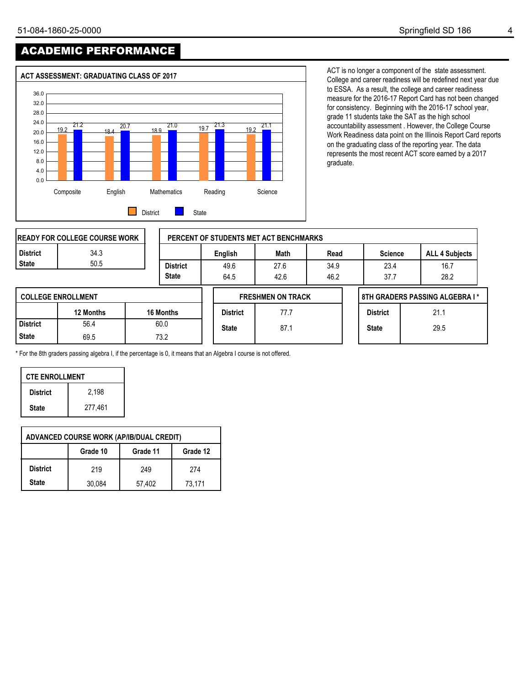# ACADEMIC PERFORMANCE



ACT is no longer a component of the state assessment. College and career readiness will be redefined next year due to ESSA. As a result, the college and career readiness measure for the 2016-17 Report Card has not been changed for consistency. Beginning with the 2016-17 school year, grade 11 students take the SAT as the high school accountability assessment . However, the College Course Work Readiness data point on the Illinois Report Card reports on the graduating class of the reporting year. The data represents the most recent ACT score earned by a 2017 graduate.

|                 | <b>IREADY FOR COLLEGE COURSE WORK</b> |                 |                 | PERCENT OF STUDENTS MET ACT BENCHMARKS |      |                 |                                |
|-----------------|---------------------------------------|-----------------|-----------------|----------------------------------------|------|-----------------|--------------------------------|
| <b>District</b> | 34.3                                  |                 | English         | Math                                   | Read | <b>Science</b>  | <b>ALL 4 Subjects</b>          |
| <b>State</b>    | 50.5                                  | <b>District</b> | 49.6            | 27.6                                   | 34.9 | 23.4            | 16.7                           |
|                 |                                       | <b>State</b>    | 64.5            | 42.6                                   | 46.2 | 37.7            | 28.2                           |
|                 | <b>COLLEGE ENROLLMENT</b>             |                 |                 | <b>FRESHMEN ON TRACK</b>               |      |                 | 8TH GRADERS PASSING ALGEBRA I* |
|                 | 12 Months                             | 16 Months       | <b>District</b> | 77.7                                   |      | <b>District</b> | 21.1                           |
| <b>District</b> | 56.4                                  | 60.0            | <b>State</b>    | 87.1                                   |      | <b>State</b>    | 29.5                           |
| <b>State</b>    | 69.5                                  | 73.2            |                 |                                        |      |                 |                                |

\* For the 8th graders passing algebra I, if the percentage is 0, it means that an Algebra I course is not offered.

| <b>CTE ENROLLMENT</b> |         |  |  |  |  |  |  |  |
|-----------------------|---------|--|--|--|--|--|--|--|
| <b>District</b>       | 2.198   |  |  |  |  |  |  |  |
| <b>State</b>          | 277,461 |  |  |  |  |  |  |  |

|                 |          | <b>ADVANCED COURSE WORK (AP/IB/DUAL CREDIT)</b> |          |
|-----------------|----------|-------------------------------------------------|----------|
|                 | Grade 10 | Grade 11                                        | Grade 12 |
| <b>District</b> | 219      | 249                                             | 274      |
| <b>State</b>    | 30,084   | 57,402                                          | 73.171   |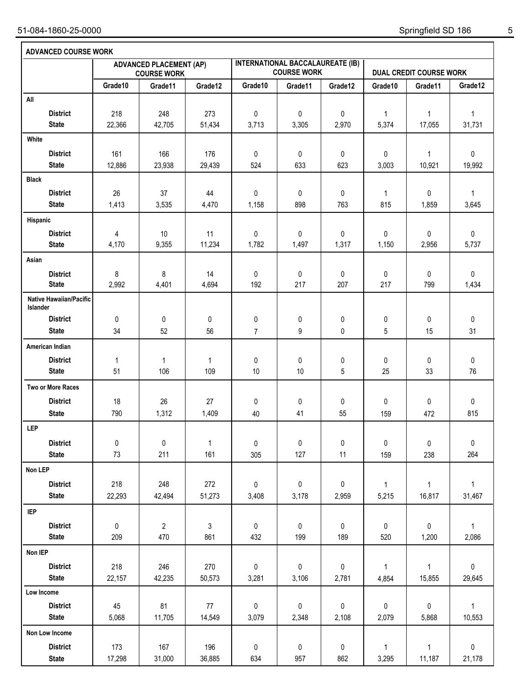| <b>ADVANCED COURSE WORK</b>                |               |                                                      |               |                |                                                               |            |                       |                                |                        |
|--------------------------------------------|---------------|------------------------------------------------------|---------------|----------------|---------------------------------------------------------------|------------|-----------------------|--------------------------------|------------------------|
|                                            |               | <b>ADVANCED PLACEMENT (AP)</b><br><b>COURSE WORK</b> |               |                | <b>INTERNATIONAL BACCALAUREATE (IB)</b><br><b>COURSE WORK</b> |            |                       | <b>DUAL CREDIT COURSE WORK</b> |                        |
|                                            | Grade10       | Grade11                                              | Grade12       | Grade10        | Grade11                                                       | Grade12    | Grade10               | Grade11                        | Grade12                |
| All                                        |               |                                                      |               |                |                                                               |            |                       |                                |                        |
| <b>District</b><br><b>State</b>            | 218<br>22,366 | 248<br>42,705                                        | 273<br>51,434 | 0<br>3,713     | 0<br>3,305                                                    | 0<br>2,970 | $\mathbf{1}$<br>5,374 | $\mathbf{1}$<br>17,055         | $\mathbf{1}$<br>31,731 |
| White                                      |               |                                                      |               |                |                                                               |            |                       |                                |                        |
| <b>District</b>                            | 161           | 166                                                  | 176           | 0              | 0                                                             | 0          | 0                     | 1                              | 0                      |
| <b>State</b>                               | 12,886        | 23,938                                               | 29,439        | 524            | 633                                                           | 623        | 3,003                 | 10,921                         | 19,992                 |
| <b>Black</b>                               |               |                                                      |               |                |                                                               |            |                       |                                |                        |
| <b>District</b>                            | 26            | 37                                                   | 44            | 0              | 0                                                             | 0          | $\mathbf{1}$          | 0                              | $\mathbf{1}$           |
| <b>State</b>                               | 1,413         | 3,535                                                | 4,470         | 1,158          | 898                                                           | 763        | 815                   | 1,859                          | 3,645                  |
| Hispanic                                   |               |                                                      |               |                |                                                               |            |                       |                                |                        |
| <b>District</b>                            | 4             | 10                                                   | 11            | 0              | 0                                                             | 0          | 0                     | 0                              | $\pmb{0}$              |
| <b>State</b>                               | 4,170         | 9,355                                                | 11,234        | 1,782          | 1,497                                                         | 1,317      | 1,150                 | 2,956                          | 5,737                  |
| Asian                                      |               |                                                      |               |                |                                                               |            |                       |                                |                        |
| <b>District</b>                            | 8             | 8                                                    | 14            | 0              | 0                                                             | 0          | 0                     | 0                              | 0                      |
| <b>State</b>                               | 2,992         | 4,401                                                | 4,694         | 192            | 217                                                           | 207        | 217                   | 799                            | 1,434                  |
| <b>Native Hawaiian/Pacific</b><br>Islander |               |                                                      |               |                |                                                               |            |                       |                                |                        |
| <b>District</b>                            | 0             | 0                                                    | 0             | 0              | 0                                                             | 0          | 0                     | 0                              | 0                      |
| <b>State</b>                               | 34            | 52                                                   | 56            | $\overline{7}$ | 9                                                             | 0          | 5                     | 15                             | 31                     |
| American Indian                            |               |                                                      |               |                |                                                               |            |                       |                                |                        |
| <b>District</b>                            | $\mathbf 1$   | 1                                                    | $\mathbf{1}$  | 0              | 0                                                             | 0          | 0                     | 0                              | 0                      |
| <b>State</b>                               | 51            | 106                                                  | 109           | 10             | 10                                                            | 5          | 25                    | 33                             | 76                     |
| Two or More Races                          |               |                                                      |               |                |                                                               |            |                       |                                |                        |
| <b>District</b>                            | 18            | 26                                                   | 27            | 0              | 0                                                             | 0          | 0                     | 0                              | 0                      |
| <b>State</b>                               | 790           | 1,312                                                | 1,409         | 40             | 41                                                            | 55         | 159                   | 472                            | 815                    |
| <b>LEP</b>                                 |               |                                                      |               |                |                                                               |            |                       |                                |                        |
| <b>District</b>                            | $\pmb{0}$     | $\pmb{0}$                                            | $\mathbf{1}$  | $\pmb{0}$      | 0                                                             | 0          | $\pmb{0}$             | 0                              | $\pmb{0}$              |
| <b>State</b>                               | 73            | 211                                                  | 161           | 305            | 127                                                           | 11         | 159                   | 238                            | 264                    |
| Non LEP                                    |               |                                                      |               |                |                                                               |            |                       |                                |                        |
| <b>District</b>                            | 218           | 248                                                  | 272           | 0              | 0                                                             | 0          | $\mathbf{1}$          | 1                              | $\mathbf{1}$           |
| <b>State</b>                               | 22,293        | 42,494                                               | 51,273        | 3,408          | 3,178                                                         | 2,959      | 5,215                 | 16,817                         | 31,467                 |
| <b>IEP</b>                                 |               |                                                      |               |                |                                                               |            |                       |                                |                        |
| <b>District</b>                            | 0             | $\overline{2}$                                       | 3             | 0              | $\pmb{0}$                                                     | 0          | 0                     | 0                              | $\mathbf{1}$           |
| <b>State</b>                               | 209           | 470                                                  | 861           | 432            | 199                                                           | 189        | 520                   | 1,200                          | 2,086                  |
| Non IEP                                    |               |                                                      |               |                |                                                               |            |                       |                                |                        |
| <b>District</b>                            | 218           | 246                                                  | 270           | 0              | 0                                                             | 0          | $\mathbf{1}$          | $\mathbf{1}$                   | $\pmb{0}$              |
| <b>State</b>                               | 22,157        | 42,235                                               | 50,573        | 3,281          | 3,106                                                         | 2,781      | 4,854                 | 15,855                         | 29,645                 |
| Low Income                                 |               |                                                      |               |                |                                                               |            |                       |                                |                        |
| <b>District</b>                            | 45            | 81                                                   | $77\,$        | 0              | $\pmb{0}$                                                     | 0          | $\pmb{0}$             | $\pmb{0}$                      | $\mathbf{1}$           |
| <b>State</b>                               | 5,068         | 11,705                                               | 14,549        | 3,079          | 2,348                                                         | 2,108      | 2,079                 | 5,868                          | 10,553                 |
| Non Low Income                             |               |                                                      |               |                |                                                               |            |                       |                                |                        |
| <b>District</b>                            | 173           | 167                                                  | 196           | 0              | 0                                                             | 0          | $\mathbf{1}$          | $\mathbf{1}$                   | 0                      |
| <b>State</b>                               | 17,298        | 31,000                                               | 36,885        | 634            | 957                                                           | 862        | 3,295                 | 11,187                         | 21,178                 |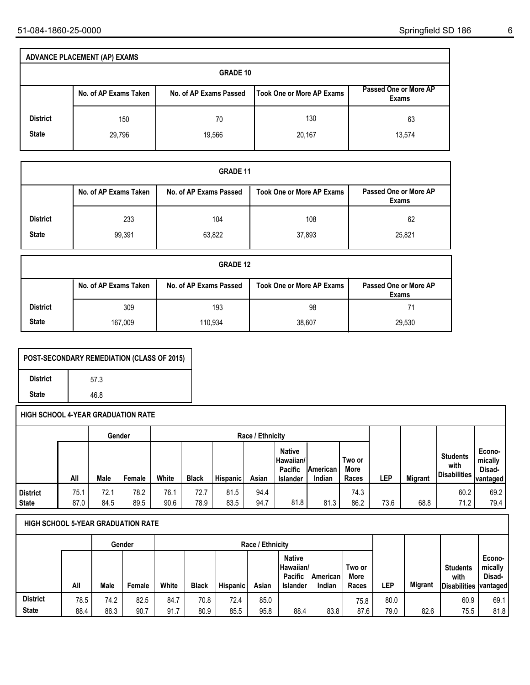|                 | <b>ADVANCE PLACEMENT (AP) EXAMS</b> |                        |                           |                                |
|-----------------|-------------------------------------|------------------------|---------------------------|--------------------------------|
|                 |                                     | <b>GRADE 10</b>        |                           |                                |
|                 | No. of AP Exams Taken               | No. of AP Exams Passed | Took One or More AP Exams | Passed One or More AP<br>Exams |
| <b>District</b> | 150                                 | 70                     | 130                       | 63                             |
| <b>State</b>    | 29,796                              | 19,566                 | 20,167                    | 13,574                         |

|                                 | <b>GRADE 11</b>       |                        |                                  |                                       |  |  |  |  |  |  |  |  |  |  |
|---------------------------------|-----------------------|------------------------|----------------------------------|---------------------------------------|--|--|--|--|--|--|--|--|--|--|
|                                 | No. of AP Exams Taken | No. of AP Exams Passed | <b>Took One or More AP Exams</b> | Passed One or More AP<br><b>Exams</b> |  |  |  |  |  |  |  |  |  |  |
| <b>District</b><br><b>State</b> | 233<br>99,391         | 104<br>63,822          | 108<br>37,893                    | 62<br>25,821                          |  |  |  |  |  |  |  |  |  |  |

|                 | <b>GRADE 12</b>       |                        |                                  |                                |  |  |  |  |  |  |  |  |  |  |
|-----------------|-----------------------|------------------------|----------------------------------|--------------------------------|--|--|--|--|--|--|--|--|--|--|
|                 | No. of AP Exams Taken | No. of AP Exams Passed | <b>Took One or More AP Exams</b> | Passed One or More AP<br>Exams |  |  |  |  |  |  |  |  |  |  |
| <b>District</b> | 309                   | 193                    | 98                               | 71                             |  |  |  |  |  |  |  |  |  |  |
| <b>State</b>    | 167,009               | 110.934                | 38,607                           | 29,530                         |  |  |  |  |  |  |  |  |  |  |

| POST-SECONDARY REMEDIATION (CLASS OF 2015) |      |  |  |  |  |  |  |  |  |  |
|--------------------------------------------|------|--|--|--|--|--|--|--|--|--|
| <b>District</b>                            | 57.3 |  |  |  |  |  |  |  |  |  |
| <b>State</b>                               | 46.8 |  |  |  |  |  |  |  |  |  |

|                 |      |      | Gender |       |              |          | Race / Ethnicity |                                                   |                     |                         |            |         |                                                | Econo-<br>mically<br>Disad-<br>vantaged |
|-----------------|------|------|--------|-------|--------------|----------|------------------|---------------------------------------------------|---------------------|-------------------------|------------|---------|------------------------------------------------|-----------------------------------------|
|                 | All  | Male | Female | White | <b>Black</b> | Hispanic | Asian            | <b>Native</b><br>Hawaiian/<br>Pacific<br>Islander | lAmerican<br>Indian | Two or<br>More<br>Races | <b>LEP</b> | Migrant | <b>Students</b><br>with<br><b>Disabilities</b> |                                         |
| <b>District</b> | 75.1 | 72.1 | 78.2   | 76.1  | 72.7         | 81.5     | 94.4             |                                                   |                     | 74.3                    |            |         | 60.2                                           | 69.2                                    |
| <b>State</b>    | 87.0 | 84.5 | 89.5   | 90.6  | 78.9         | 83.5     | 94.7             | 81.8                                              | 81.3                | 86.2                    | 73.6       | 68.8    | 71.2                                           | 79.4                                    |

|                 |      |      | Gender | Race / Ethnicity |              |                 |       |                                                                   |                           |                                |            |                |                                         |                                                |
|-----------------|------|------|--------|------------------|--------------|-----------------|-------|-------------------------------------------------------------------|---------------------------|--------------------------------|------------|----------------|-----------------------------------------|------------------------------------------------|
|                 | All  | Male | Female | White            | <b>Black</b> | <b>Hispanic</b> | Asian | <b>Native</b><br>∣Hawaiian/∣<br><b>Pacific</b><br><b>Islander</b> | <b>American</b><br>Indian | Two or<br><b>More</b><br>Races | <b>LEP</b> | <b>Migrant</b> | <b>Students</b><br>with<br>Disabilities | Econo-<br>mically<br>Disad-<br><b>vantaged</b> |
| <b>District</b> | 78.5 | 74.2 | 82.5   | 84.7             | 70.8         | 72.4            | 85.0  |                                                                   |                           | 75.8                           | 80.0       |                | 60.9                                    | 69.1                                           |
| <b>State</b>    | 88.4 | 86.3 | 90.7   | 91.7             | 80.9         | 85.5            | 95.8  | 88.4                                                              | 83.8                      | 87.6                           | 79.0       | 82.6           | 75.5                                    | 81.8                                           |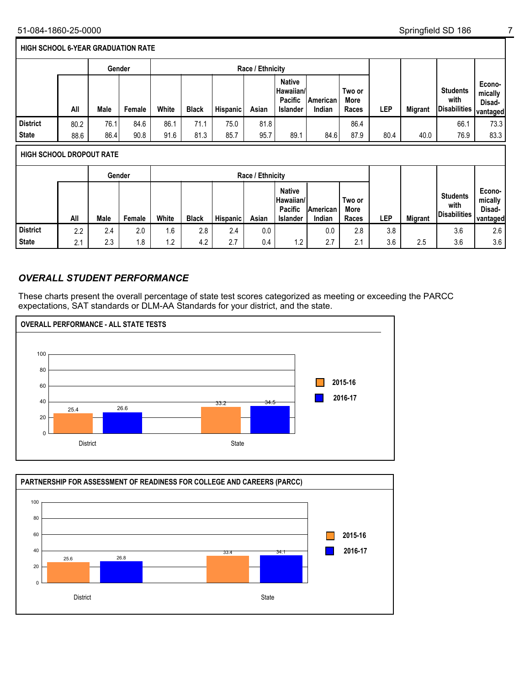#### **HIGH SCHOOL 6-YEAR GRADUATION RATE**

|                                 |      | Gender |        |       |              |          | Race / Ethnicity |                                                                 |                    |                         |      |                |                                                |                                         |
|---------------------------------|------|--------|--------|-------|--------------|----------|------------------|-----------------------------------------------------------------|--------------------|-------------------------|------|----------------|------------------------------------------------|-----------------------------------------|
|                                 | All  | Male   | Female | White | <b>Black</b> | Hispanic | Asian            | <b>Native</b><br>Hawaiian/<br><b>Pacific</b><br><b>Islander</b> | American<br>Indian | Two or<br>More<br>Races | LEP  | <b>Migrant</b> | <b>Students</b><br>with<br><b>Disabilities</b> | Econo-<br>mically<br>Disad-<br>vantaged |
| <b>District</b>                 | 80.2 | 76.1   | 84.6   | 86.1  | 71.1         | 75.0     | 81.8             |                                                                 |                    | 86.4                    |      |                | 66.1                                           | 73.3                                    |
| <b>State</b>                    | 88.6 | 86.4   | 90.8   | 91.6  | 81.3         | 85.7     | 95.7             | 89.1                                                            | 84.6               | 87.9                    | 80.4 | 40.0           | 76.9                                           | 83.3                                    |
|                                 |      |        |        |       |              |          |                  |                                                                 |                    |                         |      |                |                                                |                                         |
| <b>HIGH SCHOOL DROPOUT RATE</b> |      |        |        |       |              |          |                  |                                                                 |                    |                         |      |                |                                                |                                         |

|                 |                |      | Gender | Race / Ethnicity |              |          |       |                                                                 |                            |                         |            |                |                                         |                                        |
|-----------------|----------------|------|--------|------------------|--------------|----------|-------|-----------------------------------------------------------------|----------------------------|-------------------------|------------|----------------|-----------------------------------------|----------------------------------------|
|                 | All            | Male | Female | White            | <b>Black</b> | Hispanic | Asian | <b>Native</b><br>Hawaiian/<br><b>Pacific</b><br><b>Islander</b> | <b>IAmerican</b><br>Indian | Two or<br>More<br>Races | <b>LEP</b> | <b>Migrant</b> | <b>Students</b><br>with<br>Disabilities | Econo-<br>mically<br>Disad-<br>vantage |
| <b>District</b> | 2.2            | 2.4  | 2.0    | 1.6              | 2.8          | 2.4      | 0.0   |                                                                 | 0.0                        | 2.8                     | 3.8        |                | 3.6                                     | 2.6                                    |
| <b>State</b>    | $\Omega$<br>۷. | 2.3  | 1.8    | 1.2              | 4.2          | 2.7      | 0.4   | 1.2                                                             | 2.7                        | 2.1                     | 3.6        | 2.5            | 3.6                                     | 3.6                                    |

### *OVERALL STUDENT PERFORMANCE*

These charts present the overall percentage of state test scores categorized as meeting or exceeding the PARCC expectations, SAT standards or DLM-AA Standards for your district, and the state.





**Economically Disadvantaged**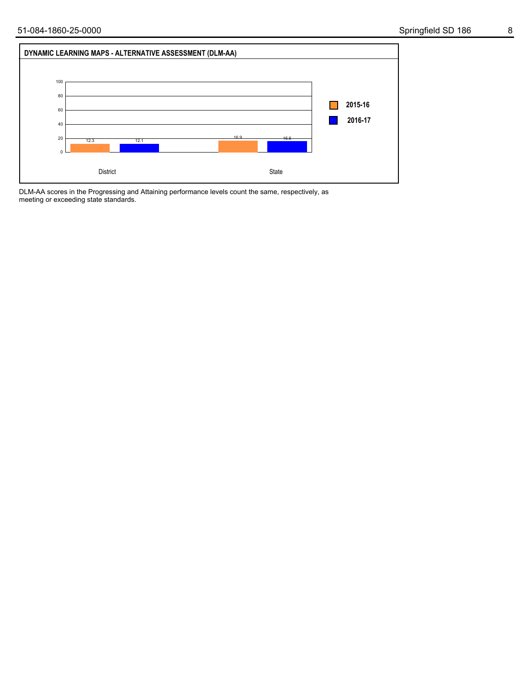

DLM-AA scores in the Progressing and Attaining performance levels count the same, respectively, as meeting or exceeding state standards.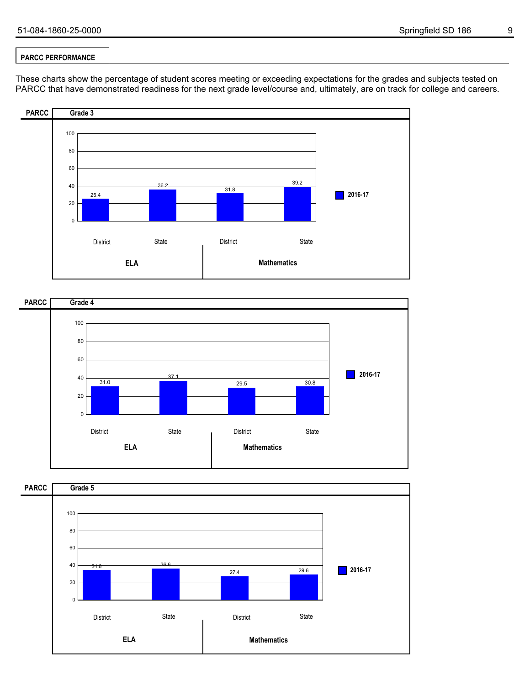### **PARCC PERFORMANCE**

These charts show the percentage of student scores meeting or exceeding expectations for the grades and subjects tested on PARCC that have demonstrated readiness for the next grade level/course and, ultimately, are on track for college and careers.





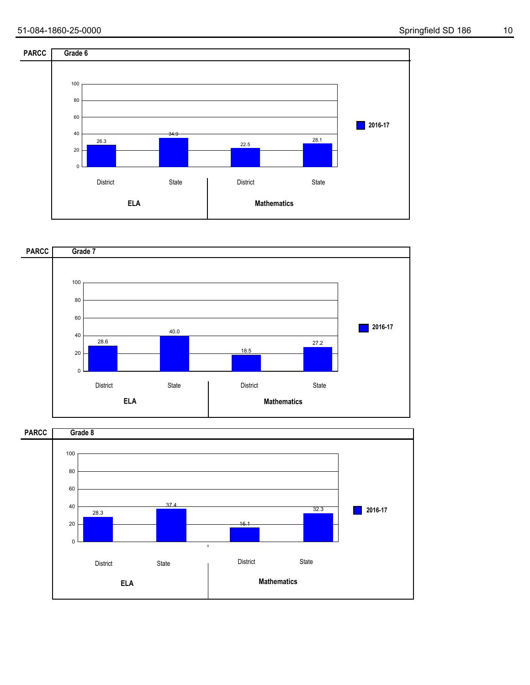



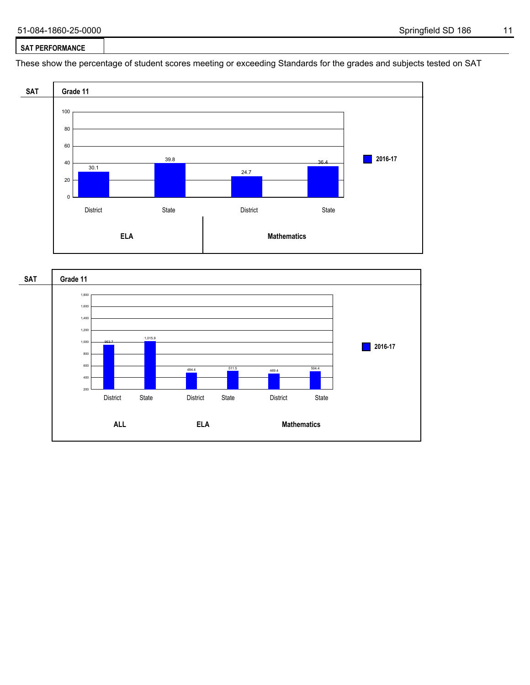#### **SAT PERFORMANCE**

These show the percentage of student scores meeting or exceeding Standards for the grades and subjects tested on SAT



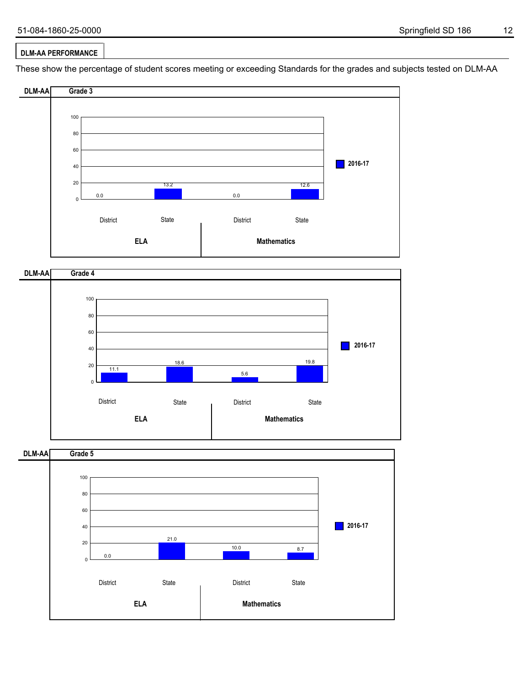### **DLM-AA PERFORMANCE**

These show the percentage of student scores meeting or exceeding Standards for the grades and subjects tested on DLM-AA



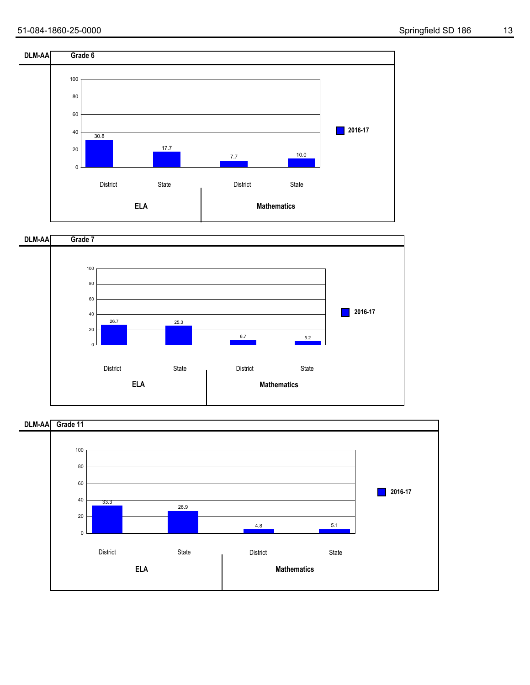



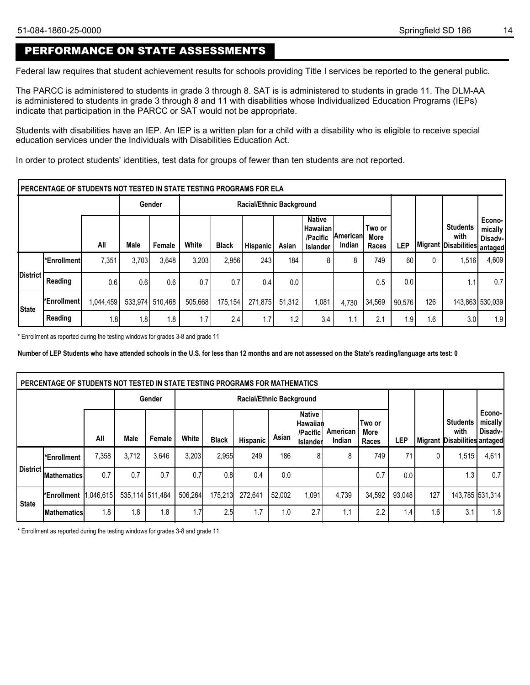## PERFORMANCE ON STATE ASSESSMENTS

Federal law requires that student achievement results for schools providing Title I services be reported to the general public.

The PARCC is administered to students in grade 3 through 8. SAT is is administered to students in grade 11. The DLM-AA is administered to students in grade 3 through 8 and 11 with disabilities whose Individualized Education Programs (IEPs) indicate that participation in the PARCC or SAT would not be appropriate.

Students with disabilities have an IEP. An IEP is a written plan for a child with a disability who is eligible to receive special education services under the Individuals with Disabilities Education Act.

In order to protect students' identities, test data for groups of fewer than ten students are not reported.

|                 | PERCENTAGE OF STUDENTS NOT TESTED IN STATE TESTING PROGRAMS FOR ELA |           |         |         |         |                                 |                 |        |                                                                 |                      |                         |        |     |                                                 |                                         |
|-----------------|---------------------------------------------------------------------|-----------|---------|---------|---------|---------------------------------|-----------------|--------|-----------------------------------------------------------------|----------------------|-------------------------|--------|-----|-------------------------------------------------|-----------------------------------------|
|                 |                                                                     |           |         | Gender  |         | <b>Racial/Ethnic Background</b> |                 |        |                                                                 |                      |                         |        |     |                                                 |                                         |
|                 |                                                                     | All       | Male    | Female  | White   | <b>Black</b>                    | <b>Hispanic</b> | Asian  | <b>Native</b><br><b>Hawaiian</b><br>/Pacific<br><b>Islander</b> | ∣American∣<br>Indian | Two or<br>More<br>Races | LEP    |     | <b>Students</b><br>with<br>Migrant Disabilities | Econo-<br>mically<br>Disadv-<br>antaged |
|                 | l*Enrollmentl                                                       | 7,351     | 3,703   | 3,648   | 3,203   | 2,956                           | 243             | 184    | 8                                                               | 8                    | 749                     | 60     |     | 1,516                                           | 4,609                                   |
| <b>District</b> | Reading                                                             | 0.6       | 0.6     | 0.6     | 0.7     | 0.7                             | 0.4             | 0.0    |                                                                 |                      | 0.5                     | 0.0    |     | 1.1                                             | 0.7                                     |
| State           | l*Enrollment l                                                      | 1,044,459 | 533.974 | 510,468 | 505,668 | 175.154                         | 271,875         | 51.312 | 1,081                                                           | 4.730                | 34,569                  | 90.576 | 126 |                                                 | 143,863 530,039                         |
|                 | Reading                                                             | ا8.،      | 1.8     | 1.8     | 1.7     | 2.4                             | 1.7             | 1.2    | 3.4                                                             | 1.1                  | 2.1                     | 1.9    | 1.6 | 3.0                                             | 1.9                                     |

\* Enrollment as reported during the testing windows for grades 3-8 and grade 11

**Number of LEP Students who have attended schools in the U.S. for less than 12 months and are not assessed on the State's reading/language arts test: 0**

|              | PERCENTAGE OF STUDENTS NOT TESTED IN STATE TESTING PROGRAMS FOR MATHEMATICS |       |                 |        |         |              |                          |        |                                                   |                           |                         |                  |     |                                                         |                              |
|--------------|-----------------------------------------------------------------------------|-------|-----------------|--------|---------|--------------|--------------------------|--------|---------------------------------------------------|---------------------------|-------------------------|------------------|-----|---------------------------------------------------------|------------------------------|
|              |                                                                             |       |                 | Gender |         |              | Racial/Ethnic Background |        |                                                   |                           |                         |                  |     |                                                         |                              |
|              |                                                                             | All   | <b>Male</b>     | Female | White   | <b>Black</b> | Hispanic                 | Asian  | <b>Native</b><br>Hawaiian<br>/Pacific<br>Islander | American<br><b>Indian</b> | Two or<br>More<br>Races | LEP              |     | <b>Students</b><br>with<br>Migrant Disabilities antaged | Econo-<br>mically<br>Disadv- |
|              | *Enrollment                                                                 | 7,358 | 3.712           | 3,646  | 3,203   | 2,955        | 249                      | 186    | 8                                                 | 8                         | 749                     | 71               | 0   | 1,515                                                   | 4,611                        |
| District!    | <b>Mathematics</b>                                                          | 0.7   | 0.7             | 0.7    | 0.7     | 0.8          | 0.4                      | 0.0    |                                                   |                           | 0.7                     | 0.0 <sub>1</sub> |     | 1.3                                                     | 0.7                          |
| <b>State</b> | Enrollment 1,046,615                                                        |       | 535,114 511,484 |        | 506,264 | 175,213      | 272.641                  | 52,002 | 1,091                                             | 4,739                     | 34,592                  | 93,048           | 127 |                                                         | 143,785 531,314              |
|              | <b>IMathematics</b>                                                         | 1.8   | 1.8             | 1.8    | 1.7     | 2.5          | 1.7                      | 1.0    | 2.7                                               | 1.1                       | 2.2                     | $1.4^{\circ}$    | 1.6 | 3.1                                                     | 1.8                          |

\* Enrollment as reported during the testing windows for grades 3-8 and grade 11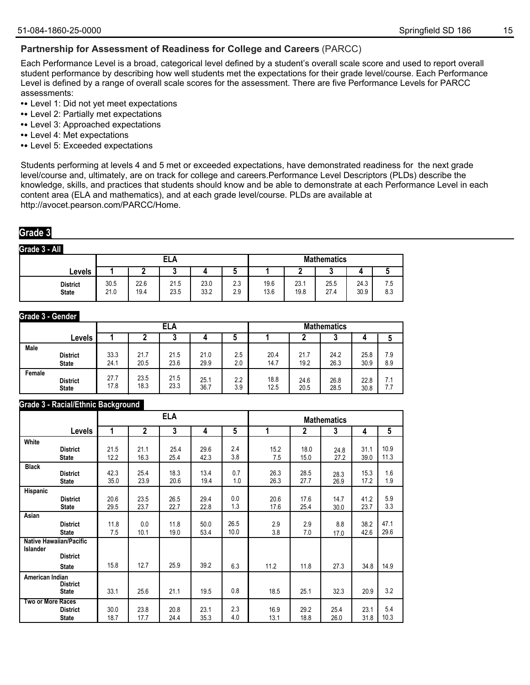### **Partnership for Assessment of Readiness for College and Careers** (PARCC)

Each Performance Level is a broad, categorical level defined by a student's overall scale score and used to report overall student performance by describing how well students met the expectations for their grade level/course. Each Performance Level is defined by a range of overall scale scores for the assessment. There are five Performance Levels for PARCC assessments:

- **•** Level 1: Did not yet meet expectations
- **•** Level 2: Partially met expectations
- **•** Level 3: Approached expectations
- **•** Level 4: Met expectations
- **•** Level 5: Exceeded expectations

Students performing at levels 4 and 5 met or exceeded expectations, have demonstrated readiness for the next grade level/course and, ultimately, are on track for college and careers.Performance Level Descriptors (PLDs) describe the knowledge, skills, and practices that students should know and be able to demonstrate at each Performance Level in each content area (ELA and mathematics), and at each grade level/course. PLDs are available at http://avocet.pearson.com/PARCC/Home.

### **Grade 3**

**Grade 3 - All**

|                                 |              |              | ELA          |              |            | <b>Mathematics</b> |              |              |              |            |  |
|---------------------------------|--------------|--------------|--------------|--------------|------------|--------------------|--------------|--------------|--------------|------------|--|
| Levels                          |              | -            |              |              | ۰.         |                    |              |              |              |            |  |
| <b>District</b><br><b>State</b> | 30.5<br>21.0 | 22.6<br>19.4 | 21.5<br>23.5 | 23.0<br>33.2 | 2.3<br>2.9 | 19.6<br>13.6       | 23.1<br>19.8 | 25.5<br>27.4 | 24.3<br>30.9 | 7.5<br>8.3 |  |

#### **Grade 3 - Gender**

|             |                 |      | ELA  |      |      |     |      | <b>Mathematics</b> |      |      |     |  |  |
|-------------|-----------------|------|------|------|------|-----|------|--------------------|------|------|-----|--|--|
|             | Levels          |      | u    |      |      |     |      |                    | υ    |      |     |  |  |
| <b>Male</b> | <b>District</b> | 33.3 | 21.7 | 21.5 | 21.0 | 2.5 | 20.4 | 21.7               | 24.2 | 25.8 | 7.9 |  |  |
|             | <b>State</b>    | 24.1 | 20.5 | 23.6 | 29.9 | 2.0 | 14.7 | 19.2               | 26.3 | 30.9 | 8.9 |  |  |
| Female      | <b>District</b> | 27.7 | 23.5 | 21.5 | 25.1 | 2.2 | 18.8 | 24.6               | 26.8 | 22.8 | 7.1 |  |  |
|             | <b>State</b>    | 17.8 | 18.3 | 23.3 | 36.7 | 3.9 | 12.5 | 20.5               | 28.5 | 30.8 | 7.7 |  |  |

#### **Grade 3 - Racial/Ethnic Background**

|                   |                                                                   |      |                | <b>ELA</b> |      |                 |      |      | <b>Mathematics</b> |      |      |
|-------------------|-------------------------------------------------------------------|------|----------------|------------|------|-----------------|------|------|--------------------|------|------|
|                   | Levels                                                            | 1    | $\overline{2}$ | 3          | 4    | $5\phantom{.0}$ | 1    | 2    | 3                  | 4    | 5    |
| White             | <b>District</b>                                                   | 21.5 | 21.1           | 25.4       | 29.6 | 2.4             | 15.2 | 18.0 | 24.8               | 31.1 | 10.9 |
|                   | <b>State</b>                                                      | 12.2 | 16.3           | 25.4       | 42.3 | 3.8             | 7.5  | 15.0 | 27.2               | 39.0 | 11.3 |
| <b>Black</b>      | <b>District</b>                                                   | 42.3 | 25.4           | 18.3       | 13.4 | 0.7             | 26.3 | 28.5 | 28.3               | 15.3 | 1.6  |
|                   | <b>State</b>                                                      | 35.0 | 23.9           | 20.6       | 19.4 | 1.0             | 26.3 | 27.7 | 26.9               | 17.2 | 1.9  |
| Hispanic          | <b>District</b>                                                   | 20.6 | 23.5           | 26.5       | 29.4 | 0.0             | 20.6 | 17.6 | 14.7               | 41.2 | 5.9  |
|                   | <b>State</b>                                                      | 29.5 | 23.7           | 22.7       | 22.8 | 1.3             | 17.6 | 25.4 | 30.0               | 23.7 | 3.3  |
| Asian             | <b>District</b>                                                   | 11.8 | 0.0            | 11.8       | 50.0 | 26.5            | 2.9  | 2.9  | 8.8                | 38.2 | 47.1 |
|                   | <b>State</b>                                                      | 7.5  | 10.1           | 19.0       | 53.4 | 10.0            | 3.8  | 7.0  | 17.0               | 42.6 | 29.6 |
| <b>Islander</b>   | <b>Native Hawaiian/Pacific</b><br><b>District</b><br><b>State</b> | 15.8 | 12.7           | 25.9       | 39.2 | 6.3             | 11.2 | 11.8 | 27.3               | 34.8 | 14.9 |
| American Indian   | <b>District</b><br><b>State</b>                                   | 33.1 | 25.6           | 21.1       | 19.5 | 0.8             | 18.5 | 25.1 | 32.3               | 20.9 | 3.2  |
| Two or More Races | <b>District</b>                                                   | 30.0 | 23.8           | 20.8       | 23.1 | 2.3             | 16.9 | 29.2 | 25.4               | 23.1 | 5.4  |
|                   | <b>State</b>                                                      | 18.7 | 17.7           | 24.4       | 35.3 | 4.0             | 13.1 | 18.8 | 26.0               | 31.8 | 10.3 |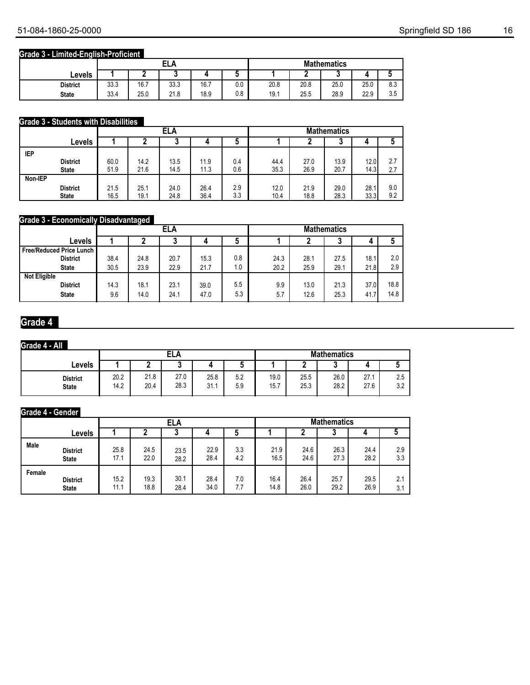### **Grade 3 - Limited-English-Proficient**

|                 |      |      | FI<br>ELA |      |     | <b>Mathematics</b> |      |      |      |                      |  |
|-----------------|------|------|-----------|------|-----|--------------------|------|------|------|----------------------|--|
| Levels          |      | -    |           |      | ີ   |                    |      | u    |      |                      |  |
| <b>District</b> | 33.3 | 16.7 | 33.3      | 16.7 | 0.0 | 20.8               | 20.8 | 25.0 | 25.0 | c o<br>υ.υ           |  |
| <b>State</b>    | 33.4 | 25.0 | 21.8      | 18.9 | 0.8 | 19.1               | 25.5 | 28.9 | 22.9 | $\sim$ $\sim$<br>ບ.ບ |  |

### **Grade 3 - Students with Disabilities**

|         |                 |      |      | <b>ELA</b> |      |     | <b>Mathematics</b> |      |        |      |     |
|---------|-----------------|------|------|------------|------|-----|--------------------|------|--------|------|-----|
|         | Levels          |      | n    | J          | 4    | C   |                    |      | n<br>u | 4    |     |
| IEP     |                 |      |      |            |      |     |                    |      |        |      |     |
|         | <b>District</b> | 60.0 | 14.2 | 13.5       | 11.9 | 0.4 | 44.4               | 27.0 | 13.9   | 12.0 | 2.7 |
|         | <b>State</b>    | 51.9 | 21.6 | 14.5       | 11.3 | 0.6 | 35.3               | 26.9 | 20.7   | 14.3 | 2.7 |
| Non-IEP |                 |      |      |            |      |     |                    |      |        |      |     |
|         | <b>District</b> | 21.5 | 25.1 | 24.0       | 26.4 | 2.9 | 12.0               | 21.9 | 29.0   | 28.1 | 9.0 |
|         | <b>State</b>    | 16.5 | 19.1 | 24.8       | 36.4 | 3.3 | 10.4               | 18.8 | 28.3   | 33.3 | 9.2 |

### **Grade 3 - Economically Disadvantaged**

|                                   |      | - -    | ELA  |      |     | <b>Mathematics</b> |      |      |      |      |  |
|-----------------------------------|------|--------|------|------|-----|--------------------|------|------|------|------|--|
| Levels                            |      | b<br>u |      |      |     |                    |      | u    | 4    |      |  |
| <b>Free/Reduced Price Lunch  </b> |      |        |      |      |     |                    |      |      |      |      |  |
| <b>District</b>                   | 38.4 | 24.8   | 20.7 | 15.3 | 0.8 | 24.3               | 28.1 | 27.5 | 18.1 | 2.0  |  |
| <b>State</b>                      | 30.5 | 23.9   | 22.9 | 21.7 | 1.0 | 20.2               | 25.9 | 29.1 | 21.8 | 2.9  |  |
| <b>Not Eligible</b>               |      |        |      |      |     |                    |      |      |      |      |  |
| <b>District</b>                   | 14.3 | 18.1   | 23.1 | 39.0 | 5.5 | 9.9                | 13.0 | 21.3 | 37.0 | 18.8 |  |
| <b>State</b>                      | 9.6  | 14.0   | 24.1 | 47.0 | 5.3 | 5.7                | 12.6 | 25.3 | 41.7 | 14.8 |  |

## **Grade 4**

### **Grade 4 - All**

|                                 |              | <b>ELA</b>   |              |              |            |              | <b>Mathematics</b> |              |              |                         |  |  |
|---------------------------------|--------------|--------------|--------------|--------------|------------|--------------|--------------------|--------------|--------------|-------------------------|--|--|
| Levels                          |              |              |              |              |            |              |                    |              |              |                         |  |  |
| <b>District</b><br><b>State</b> | 20.2<br>14.2 | 21.8<br>20.4 | 27.0<br>28.3 | 25.8<br>31.1 | 5.2<br>5.9 | 19.0<br>15.7 | 25.5<br>25.3       | 26.0<br>28.2 | 27.1<br>27.6 | つに<br>ں ے<br>റ റ<br>J.Z |  |  |

#### **Grade 4 - Gender**

|        |                 |      |      | ELA  |      |     | <b>Mathematics</b> |      |      |      |     |  |
|--------|-----------------|------|------|------|------|-----|--------------------|------|------|------|-----|--|
|        | Levels          |      |      |      |      |     |                    |      | u    |      |     |  |
| Male   | <b>District</b> | 25.8 | 24.5 | 23.5 | 22.9 | 3.3 | 21.9               | 24.6 | 26.3 | 24.4 | 2.9 |  |
|        | <b>State</b>    | 17.1 | 22.0 | 28.2 | 28.4 | 4.2 | 16.5               | 24.6 | 27.3 | 28.2 | 3.3 |  |
| Female | <b>District</b> | 15.2 | 19.3 | 30.1 | 28.4 | 7.0 | 16.4               | 26.4 | 25.7 | 29.5 | 2.1 |  |
|        | <b>State</b>    | 11.1 | 18.8 | 28.4 | 34.0 | 7.7 | 14.8               | 26.0 | 29.2 | 26.9 | 3.1 |  |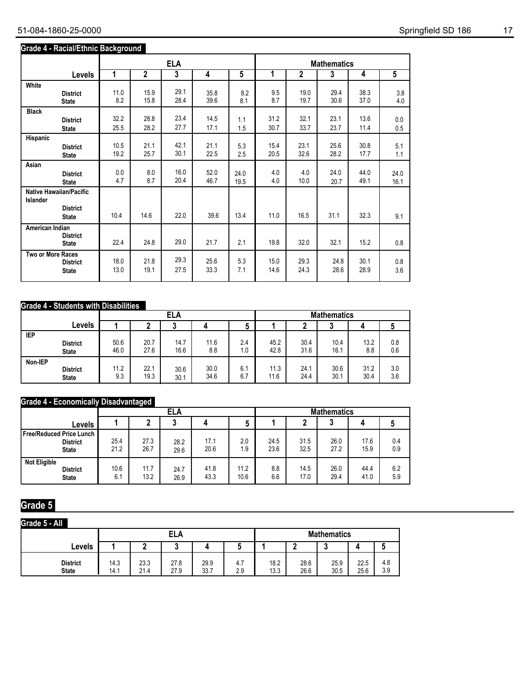### **Grade 4 - Racial/Ethnic Background**

|                   |                                                                   |      |              | <b>ELA</b> |      |      |      |              | <b>Mathematics</b> |      |                |
|-------------------|-------------------------------------------------------------------|------|--------------|------------|------|------|------|--------------|--------------------|------|----------------|
|                   | <b>Levels</b>                                                     | 1    | $\mathbf{2}$ | 3          | 4    | 5    | 1    | $\mathbf{2}$ | 3                  | 4    | $\overline{5}$ |
| White             | <b>District</b>                                                   | 11.0 | 15.9         | 29.1       | 35.8 | 8.2  | 9.5  | 19.0         | 29.4               | 38.3 | 3.8            |
|                   | <b>State</b>                                                      | 8.2  | 15.8         | 28.4       | 39.6 | 8.1  | 8.7  | 19.7         | 30.6               | 37.0 | 4.0            |
| <b>Black</b>      | <b>District</b>                                                   | 32.2 | 28.8         | 23.4       | 14.5 | 1.1  | 31.2 | 32.1         | 23.1               | 13.6 | 0.0            |
|                   | <b>State</b>                                                      | 25.5 | 28.2         | 27.7       | 17.1 | 1.5  | 30.7 | 33.7         | 23.7               | 11.4 | 0.5            |
| Hispanic          | <b>District</b>                                                   | 10.5 | 21.1         | 42.1       | 21.1 | 5.3  | 15.4 | 23.1         | 25.6               | 30.8 | 5.1            |
|                   | <b>State</b>                                                      | 19.2 | 25.7         | 30.1       | 22.5 | 2.5  | 20.5 | 32.6         | 28.2               | 17.7 | 1.1            |
| Asian             | <b>District</b>                                                   | 0.0  | 8.0          | 16.0       | 52.0 | 24.0 | 4.0  | 4.0          | 24.0               | 44.0 | 24.0           |
|                   | <b>State</b>                                                      | 4.7  | 8.7          | 20.4       | 46.7 | 19.5 | 4.0  | 10.0         | 20.7               | 49.1 | 16.1           |
| Islander          | <b>Native Hawaiian/Pacific</b><br><b>District</b><br><b>State</b> | 10.4 | 14.6         | 22.0       | 39.6 | 13.4 | 11.0 | 16.5         | 31.1               | 32.3 | 9.1            |
| American Indian   | <b>District</b><br><b>State</b>                                   | 22.4 | 24.8         | 29.0       | 21.7 | 2.1  | 19.8 | 32.0         | 32.1               | 15.2 | 0.8            |
| Two or More Races | <b>District</b>                                                   | 18.0 | 21.8         | 29.3       | 25.6 | 5.3  | 15.0 | 29.3         | 24.8               | 30.1 | 0.8            |
|                   | <b>State</b>                                                      | 13.0 | 19.1         | 27.5       | 33.3 | 7.1  | 14.6 | 24.3         | 28.6               | 28.9 | 3.6            |

### **Grade 4 - Students with Disabilities**

|         |                 |      |      | ELA  |      |     | <b>Mathematics</b> |      |      |      |     |  |
|---------|-----------------|------|------|------|------|-----|--------------------|------|------|------|-----|--|
|         | Levels          |      |      |      |      |     |                    |      |      |      |     |  |
| IEP     | <b>District</b> | 50.6 | 20.7 | 14.7 | 11.6 | 2.4 | 45.2               | 30.4 | 10.4 | 13.2 | 0.8 |  |
|         | <b>State</b>    | 46.0 | 27.6 | 16.6 | 8.8  | 1.0 | 42.8               | 31.6 | 16.1 | 8.8  | 0.6 |  |
| Non-IEP | <b>District</b> | 11.2 | 22.1 | 30.6 | 30.0 | 6.7 | 11.3               | 24.1 | 30.6 | 31.2 | 3.0 |  |
|         | <b>State</b>    | 9.3  | 19.3 | 30.1 | 34.6 | 6.7 | 11.6               | 24.4 | 30.1 | 30.4 | 3.6 |  |

## **Grade 4 - Economically Disadvantaged**

|                                                               |              |              | <b>ELA</b>   |              |              | <b>Mathematics</b> |              |              |              |            |  |
|---------------------------------------------------------------|--------------|--------------|--------------|--------------|--------------|--------------------|--------------|--------------|--------------|------------|--|
| ∟evels                                                        |              |              |              |              | b            |                    |              |              |              |            |  |
| Free/Reduced Price Lunch I<br><b>District</b><br><b>State</b> | 25.4<br>21.2 | 27.3<br>26.7 | 28.2<br>29.6 | 17.1<br>20.6 | 2.0<br>1.9   | 24.5<br>23.6       | 31.5<br>32.5 | 26.0<br>27.2 | 17.6<br>15.9 | 0.4<br>0.9 |  |
| <b>Not Eligible</b><br><b>District</b><br><b>State</b>        | 10.6<br>6.1  | 11.7<br>13.2 | 24.7<br>26.9 | 41.8<br>43.3 | 11.2<br>10.6 | 8.8<br>6.6         | 14.5<br>17.0 | 26.0<br>29.4 | 44.4<br>41.0 | 6.2<br>5.9 |  |

# **Grade 5**

| Grade 5 - All                   |              |              |              |              |            |              |              |                    |              |            |
|---------------------------------|--------------|--------------|--------------|--------------|------------|--------------|--------------|--------------------|--------------|------------|
|                                 |              |              | ELA          |              |            |              |              | <b>Mathematics</b> |              |            |
| Levels                          |              |              |              |              |            |              |              |                    |              |            |
| <b>District</b><br><b>State</b> | 14.3<br>14.1 | 23.3<br>21.4 | 27.8<br>27.9 | 29.9<br>33.7 | 4.7<br>2.9 | 18.2<br>13.3 | 28.6<br>26.6 | 25.9<br>30.5       | 22.5<br>25.6 | 4.8<br>3.9 |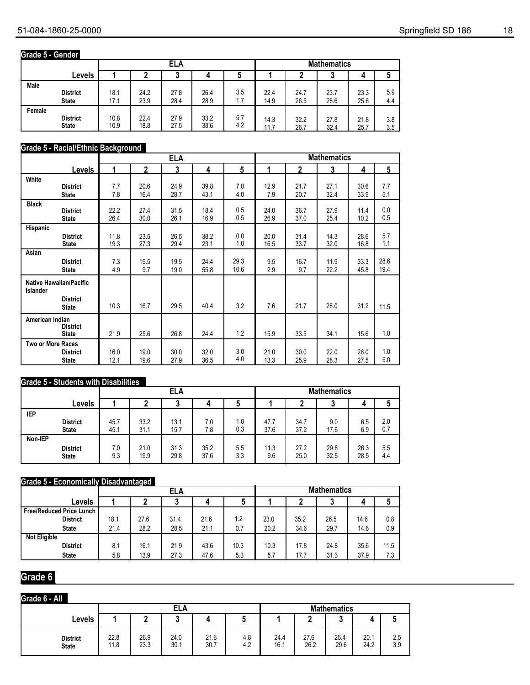## **Grade 5 - Gender**

|        |                 |      |        | ELA  |      |     |      |      | <b>Mathematics</b> |      |     |
|--------|-----------------|------|--------|------|------|-----|------|------|--------------------|------|-----|
|        | Levels          |      | u<br>w |      |      |     |      |      |                    |      |     |
| Male   | <b>District</b> | 18.1 | 24.2   | 27.8 | 26.4 | 3.5 | 22.4 | 24.7 | 23.7               | 23.3 | 5.9 |
|        | <b>State</b>    | 17.1 | 23.9   | 28.4 | 28.9 | 1.7 | 14.9 | 26.5 | 28.6               | 25.6 | 4.4 |
| Female | <b>District</b> | 10.8 | 22.4   | 27.9 | 33.2 | 5.7 | 14.3 | 32.2 | 27.8               | 21.8 | 3.8 |
|        | <b>State</b>    | 10.9 | 18.8   | 27.5 | 38.6 | 4.2 | 11.7 | 26.7 | 32.4               | 25.7 | 3.5 |

### **Grade 5 - Racial/Ethnic Background**

|                   |                                 |      | <b>Mathematics</b><br><b>ELA</b> |      |      |      |      |              |      |      |      |
|-------------------|---------------------------------|------|----------------------------------|------|------|------|------|--------------|------|------|------|
|                   | <b>Levels</b>                   | 1    | $\mathbf{2}$                     | 3    | 4    | 5    | 1    | $\mathbf{2}$ | 3    | 4    | 5    |
| White             | <b>District</b>                 | 7.7  | 20.6                             | 24.9 | 39.8 | 7.0  | 12.9 | 21.7         | 27.1 | 30.6 | 7.7  |
|                   | <b>State</b>                    | 7.8  | 16.4                             | 28.7 | 43.1 | 4.0  | 7.9  | 20.7         | 32.4 | 33.9 | 5.1  |
| <b>Black</b>      | <b>District</b>                 | 22.2 | 27.4                             | 31.5 | 18.4 | 0.5  | 24.0 | 36.7         | 27.9 | 11.4 | 0.0  |
|                   | <b>State</b>                    | 26.4 | 30.0                             | 26.1 | 16.9 | 0.5  | 26.9 | 37.0         | 25.4 | 10.2 | 0.5  |
| Hispanic          | <b>District</b>                 | 11.8 | 23.5                             | 26.5 | 38.2 | 0.0  | 20.0 | 31.4         | 14.3 | 28.6 | 5.7  |
|                   | <b>State</b>                    | 19.3 | 27.3                             | 29.4 | 23.1 | 1.0  | 16.5 | 33.7         | 32.0 | 16.8 | 1.1  |
| Asian             | <b>District</b>                 | 7.3  | 19.5                             | 19.5 | 24.4 | 29.3 | 9.5  | 16.7         | 11.9 | 33.3 | 28.6 |
|                   | <b>State</b>                    | 4.9  | 9.7                              | 19.0 | 55.8 | 10.6 | 2.9  | 9.7          | 22.2 | 45.8 | 19.4 |
| <b>Islander</b>   | <b>Native Hawaiian/Pacific</b>  |      |                                  |      |      |      |      |              |      |      |      |
|                   | <b>District</b><br><b>State</b> | 10.3 | 16.7                             | 29.5 | 40.4 | 3.2  | 7.6  | 21.7         | 28.0 | 31.2 | 11.5 |
| American Indian   | <b>District</b><br><b>State</b> | 21.9 | 25.6                             | 26.8 | 24.4 | 1.2  | 15.9 | 33.5         | 34.1 | 15.6 | 1.0  |
| Two or More Races | <b>District</b>                 | 16.0 | 19.0                             | 30.0 | 32.0 | 3.0  | 21.0 | 30.0         | 22.0 | 26.0 | 1.0  |
|                   | <b>State</b>                    | 12.1 | 19.6                             | 27.9 | 36.5 | 4.0  | 13.3 | 25.9         | 28.3 | 27.5 | 5.0  |

## **Grade 5 - Students with Disabilities**

|            |                                 |            |              | <b>ELA</b>   |              |            |             |              | <b>Mathematics</b> |              |            |
|------------|---------------------------------|------------|--------------|--------------|--------------|------------|-------------|--------------|--------------------|--------------|------------|
|            | Levels                          |            |              |              |              |            |             |              | u                  |              |            |
| <b>IEP</b> | <b>District</b>                 | 45.7       | 33.2         | 13.1         | 7.0          | 1.0        | 47.7        | 34.7         | 9.0                | 6.5          | 2.0        |
| Non-IEP    | <b>State</b>                    | 45.1       | 31.1         | 15.7         | 7.8          | 0.3        | 37.6        | 37.2         | 17.6               | 6.9          | 0.7        |
|            | <b>District</b><br><b>State</b> | 7.0<br>9.3 | 21.0<br>19.9 | 31.3<br>29.8 | 35.2<br>37.6 | 5.5<br>3.3 | 11.3<br>9.6 | 27.2<br>25.0 | 29.8<br>32.5       | 26.3<br>28.5 | 5.5<br>4.4 |

## **Grade 5 - Economically Disadvantaged**

|                                 |      |                             | <b>ELA</b> |      |      | <b>Mathematics</b> |      |      |      |      |  |
|---------------------------------|------|-----------------------------|------------|------|------|--------------------|------|------|------|------|--|
| Levels                          |      | Ć                           |            |      |      |                    |      | u    | 4    |      |  |
| <b>Free/Reduced Price Lunch</b> |      |                             |            |      |      |                    |      |      |      |      |  |
| <b>District</b>                 | 18.1 | 27.6                        | 31.4       | 21.6 | 1.2  | 23.0               | 35.2 | 26.5 | 14.6 | 0.8  |  |
| <b>State</b>                    | 21.4 | 28.2                        | 28.5       | 21.1 | 0.7  | 20.2               | 34.6 | 29.7 | 14.6 | 0.9  |  |
| <b>Not Eligible</b>             |      |                             |            |      |      |                    |      |      |      |      |  |
| <b>District</b>                 | 8.1  | 16.1                        | 21.9       | 43.6 | 10.3 | 10.3               | 17.8 | 24.8 | 35.6 | 11.5 |  |
| <b>State</b>                    | 5.8  | 5.3<br>13.9<br>27.3<br>47.6 |            |      |      |                    | 17.7 | 31.3 | 37.9 | 7.3  |  |

## **Grade 6**

### **Grade 6 - All**

|                                 |              |               | ELA          |              |            | <b>Mathematics</b> |              |              |              |            |  |
|---------------------------------|--------------|---------------|--------------|--------------|------------|--------------------|--------------|--------------|--------------|------------|--|
| Levels                          |              | <b>N</b><br>u |              |              |            |                    |              |              |              |            |  |
| <b>District</b><br><b>State</b> | 22.8<br>11.8 | 26.9<br>23.3  | 24.0<br>30.1 | 21.6<br>30.7 | 4.8<br>4.2 | 24.4<br>16.1       | 27.6<br>26.2 | 25.4<br>29.6 | 20.1<br>24.2 | 2.5<br>3.9 |  |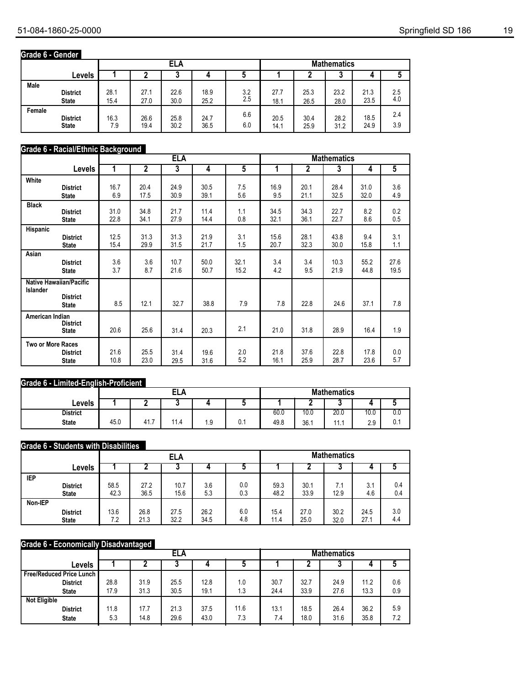## **Grade 6 - Gender**

|        |                 |      |      | <b>ELA</b> |      |     |      |      | <b>Mathematics</b> |      |     |
|--------|-----------------|------|------|------------|------|-----|------|------|--------------------|------|-----|
|        | Levels          |      |      |            |      |     |      |      | J                  | 4    |     |
| Male   | <b>District</b> | 28.1 | 27.1 | 22.6       | 18.9 | 3.2 | 27.7 | 25.3 | 23.2               | 21.3 | 2.5 |
|        | <b>State</b>    | 15.4 | 27.0 | 30.0       | 25.2 | 2.5 | 18.1 | 26.5 | 28.0               | 23.5 | 4.0 |
| Female | <b>District</b> | 16.3 | 26.6 | 25.8       | 24.7 | 6.6 | 20.5 | 30.4 | 28.2               | 18.5 | 2.4 |
|        | <b>State</b>    | 7.9  | 19.4 | 30.2       | 36.5 | 6.0 | 14.1 | 25.9 | 31.2               | 24.9 | 3.9 |

### **Grade 6 - Racial/Ethnic Background**

|                          |                                                                   |      | <b>ELA</b><br><b>Mathematics</b> |      |      |      |      |      |      |      |                |
|--------------------------|-------------------------------------------------------------------|------|----------------------------------|------|------|------|------|------|------|------|----------------|
|                          | <b>Levels</b>                                                     | 1    | $\overline{2}$                   | 3    | 4    | 5    | 1    | 2    | 3    | 4    | $\overline{5}$ |
| White                    | <b>District</b>                                                   | 16.7 | 20.4                             | 24.9 | 30.5 | 7.5  | 16.9 | 20.1 | 28.4 | 31.0 | 3.6            |
|                          | <b>State</b>                                                      | 6.9  | 17.5                             | 30.9 | 39.1 | 5.6  | 9.5  | 21.1 | 32.5 | 32.0 | 4.9            |
| <b>Black</b>             | <b>District</b>                                                   | 31.0 | 34.8                             | 21.7 | 11.4 | 1.1  | 34.5 | 34.3 | 22.7 | 8.2  | 0.2            |
|                          | <b>State</b>                                                      | 22.8 | 34.1                             | 27.9 | 14.4 | 0.8  | 32.1 | 36.1 | 22.7 | 8.6  | 0.5            |
| Hispanic                 | <b>District</b>                                                   | 12.5 | 31.3                             | 31.3 | 21.9 | 3.1  | 15.6 | 28.1 | 43.8 | 9.4  | 3.1            |
|                          | <b>State</b>                                                      | 15.4 | 29.9                             | 31.5 | 21.7 | 1.5  | 20.7 | 32.3 | 30.0 | 15.8 | 1.1            |
| Asian                    | <b>District</b>                                                   | 3.6  | 3.6                              | 10.7 | 50.0 | 32.1 | 3.4  | 3.4  | 10.3 | 55.2 | 27.6           |
|                          | <b>State</b>                                                      | 3.7  | 8.7                              | 21.6 | 50.7 | 15.2 | 4.2  | 9.5  | 21.9 | 44.8 | 19.5           |
| Islander                 | <b>Native Hawaiian/Pacific</b><br><b>District</b><br><b>State</b> | 8.5  | 12.1                             | 32.7 | 38.8 | 7.9  | 7.8  | 22.8 | 24.6 | 37.1 | 7.8            |
| American Indian          | <b>District</b><br><b>State</b>                                   | 20.6 | 25.6                             | 31.4 | 20.3 | 2.1  | 21.0 | 31.8 | 28.9 | 16.4 | 1.9            |
| <b>Two or More Races</b> | <b>District</b>                                                   | 21.6 | 25.5                             | 31.4 | 19.6 | 2.0  | 21.8 | 37.6 | 22.8 | 17.8 | 0.0            |
|                          | <b>State</b>                                                      | 10.8 | 23.0                             | 29.5 | 31.6 | 5.2  | 16.1 | 25.9 | 28.7 | 23.6 | 5.7            |

### **Grade 6 - Limited-English-Proficient**

|                 |      |           | -1<br>ᄕᅜ |      |     | <b>Mathematics</b> |      |      |      |                     |  |
|-----------------|------|-----------|----------|------|-----|--------------------|------|------|------|---------------------|--|
| Levels          |      |           |          |      |     |                    |      |      |      |                     |  |
| <b>District</b> |      |           |          |      |     | 60.0               | 10.0 | 20.0 | 10.0 | 0.0                 |  |
| <b>State</b>    | 45.0 | -<br>41., | 11.4     | ن. ا | U.1 | 49.8               | 36.1 | .    | 2.9  | $\sim$<br><b>U.</b> |  |

### **Grade 6 - Students with Disabilities**

|            |                 |      |        | ELA  |      |     |      |      | <b>Mathematics</b> |      |     |
|------------|-----------------|------|--------|------|------|-----|------|------|--------------------|------|-----|
|            | Levels          |      | J<br>u |      |      |     |      |      | J                  |      |     |
| <b>IEP</b> | <b>District</b> | 58.5 | 27.2   | 10.7 | 3.6  | 0.0 | 59.3 | 30.1 | 7.1                | 3.1  | 0.4 |
|            | <b>State</b>    | 42.3 | 36.5   | 15.6 | 5.3  | 0.3 | 48.2 | 33.9 | 12.9               | 4.6  | 0.4 |
| Non-IEP    | <b>District</b> | 13.6 | 26.8   | 27.5 | 26.2 | 6.0 | 15.4 | 27.0 | 30.2               | 24.5 | 3.0 |
|            | <b>State</b>    | 7.2  | 21.3   | 32.2 | 34.5 | 4.8 | 11.4 | 25.0 | 32.0               | 27.1 | 4.4 |

### **Grade 6 - Economically Disadvantaged**

|                          |      |      | ELA  |      |      | <b>Mathematics</b> |      |      |      |     |
|--------------------------|------|------|------|------|------|--------------------|------|------|------|-----|
| Levels                   |      |      |      |      |      |                    |      | υ    |      |     |
| Free/Reduced Price Lunch |      |      |      |      |      |                    |      |      |      |     |
| <b>District</b>          | 28.8 | 31.9 | 25.5 | 12.8 | 1.0  | 30.7               | 32.7 | 24.9 | 11.2 | 0.6 |
| <b>State</b>             | 17.9 | 31.3 | 30.5 | 19.1 | 1.3  | 24.4               | 33.9 | 27.6 | 13.3 | 0.9 |
| <b>Not Eligible</b>      |      |      |      |      |      |                    |      |      |      |     |
| <b>District</b>          | 11.8 | 17.7 | 21.3 | 37.5 | 11.6 | 13.1               | 18.5 | 26.4 | 36.2 | 5.9 |
| <b>State</b>             | 5.3  | 14.8 | 29.6 | 43.0 | 7.3  | 7.4                | 18.0 | 31.6 | 35.8 | 7.2 |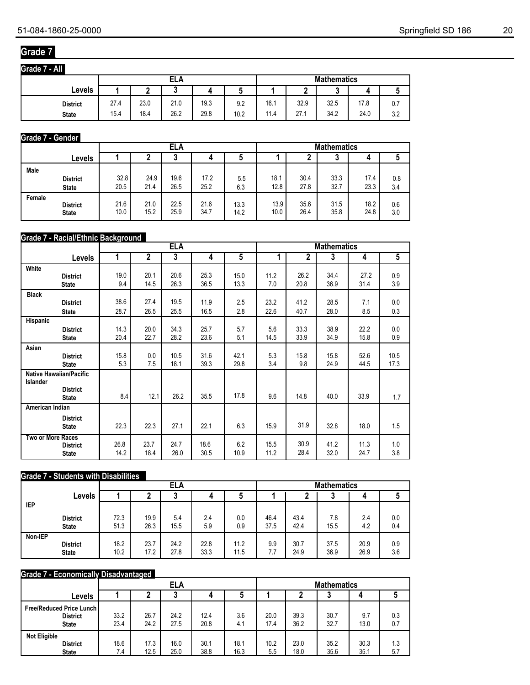## **Grade 7**

**Grade 7 - All**

| Grade 7 - All   |                           |      |      |      |      |      |      |      |      |     |  |  |
|-----------------|---------------------------|------|------|------|------|------|------|------|------|-----|--|--|
|                 | ELA<br><b>Mathematics</b> |      |      |      |      |      |      |      |      |     |  |  |
| Levels          |                           |      | u    |      |      |      | c    | w    |      |     |  |  |
| <b>District</b> | 27.4                      | 23.0 | 21.0 | 19.3 | 9.2  | 16.1 | 32.9 | 32.5 | 17.8 | 0.7 |  |  |
| <b>State</b>    | 15.4                      | 18.4 | 26.2 | 29.8 | 10.2 | 11.4 | 27.1 | 34.2 | 24.0 | 3.2 |  |  |

## **Grade 7 - Gender**

|        |                 |      |      | ELA  |      |      | <b>Mathematics</b> |      |      |      |     |
|--------|-----------------|------|------|------|------|------|--------------------|------|------|------|-----|
|        | Levels          |      |      | u    | 4    |      |                    |      | ν    |      |     |
| Male   | <b>District</b> | 32.8 | 24.9 | 19.6 | 17.2 | 5.5  | 18.1               | 30.4 | 33.3 | 17.4 | 0.8 |
|        | <b>State</b>    | 20.5 | 21.4 | 26.5 | 25.2 | 6.3  | 12.8               | 27.8 | 32.7 | 23.3 | 3.4 |
| Female | <b>District</b> | 21.6 | 21.0 | 22.5 | 21.6 | 13.3 | 13.9               | 35.6 | 31.5 | 18.2 | 0.6 |
|        | <b>State</b>    | 10.0 | 15.2 | 25.9 | 34.7 | 14.2 | 10.0               | 26.4 | 35.8 | 24.8 | 3.0 |

## **Grade 7 - Racial/Ethnic Background**

|                   |                                                                   |      | <b>ELA</b><br><b>Mathematics</b> |      |      |      |      |      |      |      |                |
|-------------------|-------------------------------------------------------------------|------|----------------------------------|------|------|------|------|------|------|------|----------------|
|                   | Levels                                                            | 1    | $\overline{2}$                   | 3    | 4    | 5    | 1    | 2    | 3    | 4    | $\overline{5}$ |
| White             | <b>District</b>                                                   | 19.0 | 20.1                             | 20.6 | 25.3 | 15.0 | 11.2 | 26.2 | 34.4 | 27.2 | 0.9            |
|                   | <b>State</b>                                                      | 9.4  | 14.5                             | 26.3 | 36.5 | 13.3 | 7.0  | 20.8 | 36.9 | 31.4 | 3.9            |
| <b>Black</b>      | <b>District</b>                                                   | 38.6 | 27.4                             | 19.5 | 11.9 | 2.5  | 23.2 | 41.2 | 28.5 | 7.1  | 0.0            |
|                   | <b>State</b>                                                      | 28.7 | 26.5                             | 25.5 | 16.5 | 2.8  | 22.6 | 40.7 | 28.0 | 8.5  | 0.3            |
| Hispanic          | <b>District</b>                                                   | 14.3 | 20.0                             | 34.3 | 25.7 | 5.7  | 5.6  | 33.3 | 38.9 | 22.2 | 0.0            |
|                   | <b>State</b>                                                      | 20.4 | 22.7                             | 28.2 | 23.6 | 5.1  | 14.5 | 33.9 | 34.9 | 15.8 | 0.9            |
| Asian             | <b>District</b>                                                   | 15.8 | 0.0                              | 10.5 | 31.6 | 42.1 | 5.3  | 15.8 | 15.8 | 52.6 | 10.5           |
|                   | <b>State</b>                                                      | 5.3  | 7.5                              | 18.1 | 39.3 | 29.8 | 3.4  | 9.8  | 24.9 | 44.5 | 17.3           |
| Islander          | <b>Native Hawaiian/Pacific</b><br><b>District</b><br><b>State</b> | 8.4  | 12.1                             | 26.2 | 35.5 | 17.8 | 9.6  | 14.8 | 40.0 | 33.9 | 1.7            |
| American Indian   |                                                                   |      |                                  |      |      |      |      |      |      |      |                |
|                   | <b>District</b><br><b>State</b>                                   | 22.3 | 22.3                             | 27.1 | 22.1 | 6.3  | 15.9 | 31.9 | 32.8 | 18.0 | 1.5            |
| Two or More Races | <b>District</b>                                                   | 26.8 | 23.7                             | 24.7 | 18.6 | 6.2  | 15.5 | 30.9 | 41.2 | 11.3 | 1.0            |
|                   | <b>State</b>                                                      | 14.2 | 18.4                             | 26.0 | 30.5 | 10.9 | 11.2 | 28.4 | 32.0 | 24.7 | 3.8            |

## **Grade 7 - Students with Disabilities**

|            |                                 |              |      | ELA  |              |      | <b>Mathematics</b> |      |              |              |            |  |
|------------|---------------------------------|--------------|------|------|--------------|------|--------------------|------|--------------|--------------|------------|--|
|            | Levels                          |              |      |      | 4            | ა    |                    |      | ◠<br>J       |              | u          |  |
| <b>IEP</b> |                                 |              |      |      |              |      |                    |      |              |              |            |  |
|            | <b>District</b>                 | 72.3         | 19.9 | 5.4  | 2.4          | 0.0  | 46.4               | 43.4 | 7.8          | 2.4          | 0.0        |  |
|            | <b>State</b>                    | 51.3         | 26.3 | 15.5 | 5.9          | 0.9  | 37.5               | 42.4 | 15.5         | 4.2          | 0.4        |  |
| Non-IEP    |                                 |              |      |      |              |      |                    |      |              |              |            |  |
|            |                                 |              | 17.2 | 27.8 |              | 11.5 | 7.7                | 24.9 |              |              |            |  |
|            | <b>District</b><br><b>State</b> | 18.2<br>10.2 | 23.7 | 24.2 | 22.8<br>33.3 | 11.2 | 9.9                | 30.7 | 37.5<br>36.9 | 20.9<br>26.9 | 0.9<br>3.6 |  |

### **Grade 7 - Economically Disadvantaged**

|                                                             |              |              | <b>ELA</b>   |              |              | <b>Mathematics</b> |              |              |              |            |  |
|-------------------------------------------------------------|--------------|--------------|--------------|--------------|--------------|--------------------|--------------|--------------|--------------|------------|--|
| Levels                                                      |              |              |              | 4            |              |                    |              |              |              |            |  |
| Free/Reduced Price Lunch<br><b>District</b><br><b>State</b> | 33.2<br>23.4 | 26.7<br>24.2 | 24.2<br>27.5 | 12.4<br>20.8 | 3.6<br>4.1   | 20.0<br>17.4       | 39.3<br>36.2 | 30.7<br>32.7 | 9.7<br>13.0  | 0.3<br>0.7 |  |
| <b>Not Eligible</b><br><b>District</b><br><b>State</b>      | 18.6<br>7.4  | 17.3<br>12.5 | 16.0<br>25.0 | 30.1<br>38.8 | 18.1<br>16.3 | 10.2<br>5.5        | 23.0<br>18.0 | 35.2<br>35.6 | 30.3<br>35.1 | 1.3<br>5.7 |  |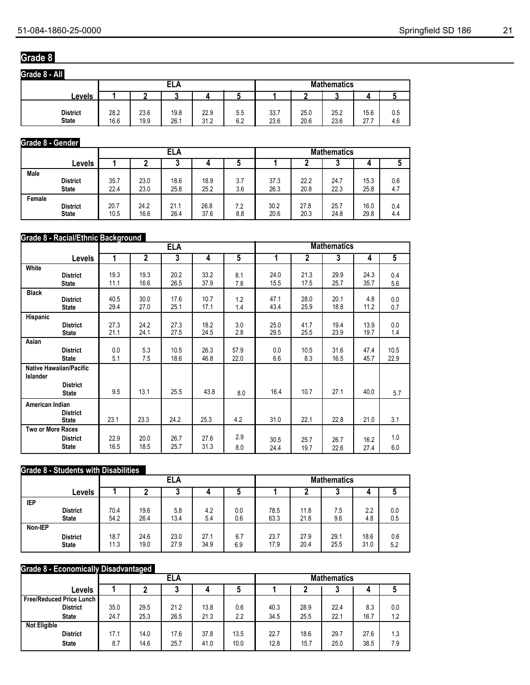## **Grade 8**

| Grade 8 - All                   |              |              |              |              |            |                    |              |              |              |            |  |
|---------------------------------|--------------|--------------|--------------|--------------|------------|--------------------|--------------|--------------|--------------|------------|--|
|                                 |              |              | ELA          |              |            | <b>Mathematics</b> |              |              |              |            |  |
| <b>Levels</b>                   |              |              |              |              |            |                    |              |              |              |            |  |
| <b>District</b><br><b>State</b> | 28.2<br>16.6 | 23.6<br>19.9 | 19.8<br>26.1 | 22.9<br>31.2 | 5.5<br>6.2 | 33.7<br>23.6       | 25.0<br>20.6 | 25.2<br>23.6 | 15.6<br>27.7 | 0.5<br>4.6 |  |

### **Grade 8 - Gender**

|        |                 |      |      | ELA  |      |     | <b>Mathematics</b> |      |      |      |     |
|--------|-----------------|------|------|------|------|-----|--------------------|------|------|------|-----|
|        | Levels          |      |      |      |      |     |                    |      |      |      |     |
| Male   | <b>District</b> | 35.7 | 23.0 | 18.6 | 18.9 | 3.7 | 37.3               | 22.2 | 24.7 | 15.3 | 0.6 |
|        | <b>State</b>    | 22.4 | 23.0 | 25.8 | 25.2 | 3.6 | 26.3               | 20.8 | 22.3 | 25.8 | 4.7 |
| Female | <b>District</b> | 20.7 | 24.2 | 21.1 | 26.8 | 7.2 | 30.2               | 27.8 | 25.7 | 16.0 | 0.4 |
|        | <b>State</b>    | 10.5 | 16.6 | 26.4 | 37.6 | 8.8 | 20.6               | 20.3 | 24.8 | 29.8 | 4.4 |

### **Grade 8 - Racial/Ethnic Background**

|                          |                                                                   |      |              | <b>ELA</b> |      |                | <b>Mathematics</b> |              |      |      |                |
|--------------------------|-------------------------------------------------------------------|------|--------------|------------|------|----------------|--------------------|--------------|------|------|----------------|
|                          | <b>Levels</b>                                                     | 1    | $\mathbf{2}$ | 3          | 4    | $\overline{5}$ | 1                  | $\mathbf{2}$ | 3    | 4    | $\overline{5}$ |
| White                    | <b>District</b>                                                   | 19.3 | 19.3         | 20.2       | 33.2 | 8.1            | 24.0               | 21.3         | 29.9 | 24.3 | 0.4            |
|                          | <b>State</b>                                                      | 11.1 | 16.6         | 26.5       | 37.9 | 7.8            | 15.5               | 17.5         | 25.7 | 35.7 | 5.6            |
| <b>Black</b>             | <b>District</b>                                                   | 40.5 | 30.0         | 17.6       | 10.7 | 1.2            | 47.1               | 28.0         | 20.1 | 4.8  | 0.0            |
|                          | <b>State</b>                                                      | 29.4 | 27.0         | 25.1       | 17.1 | 1.4            | 43.4               | 25.9         | 18.8 | 11.2 | 0.7            |
| Hispanic                 | <b>District</b>                                                   | 27.3 | 24.2         | 27.3       | 18.2 | 3.0            | 25.0               | 41.7         | 19.4 | 13.9 | 0.0            |
|                          | <b>State</b>                                                      | 21.1 | 24.1         | 27.5       | 24.5 | 2.8            | 29.5               | 25.5         | 23.9 | 19.7 | 1.4            |
| Asian                    | <b>District</b>                                                   | 0.0  | 5.3          | 10.5       | 26.3 | 57.9           | 0.0                | 10.5         | 31.6 | 47.4 | 10.5           |
|                          | <b>State</b>                                                      | 5.1  | 7.5          | 18.6       | 46.8 | 22.0           | 6.6                | 8.3          | 16.5 | 45.7 | 22.9           |
| Islander                 | <b>Native Hawaiian/Pacific</b><br><b>District</b><br><b>State</b> | 9.5  | 13.1         | 25.5       | 43.8 | 8.0            | 16.4               | 10.7         | 27.1 | 40.0 | 5.7            |
| American Indian          | <b>District</b><br><b>State</b>                                   | 23.1 | 23.3         | 24.2       | 25.3 | 4.2            | 31.0               | 22.1         | 22.8 | 21.0 | 3.1            |
| <b>Two or More Races</b> | <b>District</b>                                                   | 22.9 | 20.0         | 26.7       | 27.6 | 2.9            | 30.5               | 25.7         | 26.7 | 16.2 | 1.0            |
|                          | <b>State</b>                                                      | 16.5 | 18.5         | 25.7       | 31.3 | 8.0            | 24.4               | 19.7         | 22.6 | 27.4 | 6.0            |

### **Grade 8 - Students with Disabilities**

|            |                                 |              |              | ELA          |              |            | <b>Mathematics</b> |              |              |              |            |
|------------|---------------------------------|--------------|--------------|--------------|--------------|------------|--------------------|--------------|--------------|--------------|------------|
|            | Levels                          |              |              | u            |              | C          |                    |              | υ            |              |            |
| <b>IEP</b> |                                 |              |              |              |              |            |                    |              |              |              |            |
|            | <b>District</b>                 | 70.4         | 19.6         | 5.8          | 4.2          | 0.0        | 78.5               | 11.8         | 7.5          | 2.2          | 0.0        |
|            | <b>State</b>                    | 54.2         | 26.4         | 13.4         | 5.4          | 0.6        | 63.3               | 21.8         | 9.6          | 4.8          | 0.5        |
| Non-IEP    |                                 |              |              |              |              |            |                    |              |              |              |            |
|            | <b>District</b><br><b>State</b> | 18.7<br>11.3 | 24.6<br>19.0 | 23.0<br>27.9 | 27.1<br>34.9 | 6.7<br>6.9 | 23.7<br>17.9       | 27.9<br>20.4 | 29.1<br>25.5 | 18.6<br>31.0 | 0.6<br>5.2 |

### **Grade 8 - Economically Disadvantaged**

|                                   |      |      | ELA  |      |      | <b>Mathematics</b> |      |      |      |     |
|-----------------------------------|------|------|------|------|------|--------------------|------|------|------|-----|
| Levels                            |      |      | J    |      |      |                    |      |      | 4    |     |
| <b>Free/Reduced Price Lunch  </b> |      |      |      |      |      |                    |      |      |      |     |
| <b>District</b>                   | 35.0 | 29.5 | 21.2 | 13.8 | 0.6  | 40.3               | 28.9 | 22.4 | 8.3  | 0.0 |
| <b>State</b>                      | 24.7 | 25.3 | 26.5 | 21.3 | 2.2  | 34.5               | 25.5 | 22.1 | 16.7 | 1.2 |
| <b>Not Eligible</b>               |      |      |      |      |      |                    |      |      |      |     |
| <b>District</b>                   | 17.1 | 14.0 | 17.6 | 37.8 | 13.5 | 22.7               | 18.6 | 29.7 | 27.6 | 1.3 |
| <b>State</b>                      | 8.7  | 14.6 | 25.7 | 41.0 | 10.0 | 12.8               | 15.7 | 25.0 | 38.5 | 7.9 |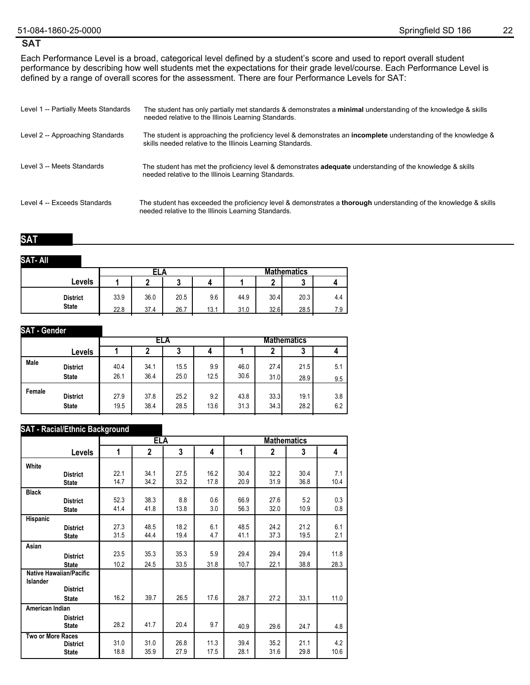### **SAT**

Each Performance Level is a broad, categorical level defined by a student's score and used to report overall student performance by describing how well students met the expectations for their grade level/course. Each Performance Level is defined by a range of overall scores for the assessment. There are four Performance Levels for SAT:

| Level 1 -- Partially Meets Standards | The student has only partially met standards & demonstrates a minimal understanding of the knowledge & skills<br>needed relative to the Illinois Learning Standards.                |
|--------------------------------------|-------------------------------------------------------------------------------------------------------------------------------------------------------------------------------------|
| Level 2 -- Approaching Standards     | The student is approaching the proficiency level & demonstrates an <b>incomplete</b> understanding of the knowledge &<br>skills needed relative to the Illinois Learning Standards. |
| Level 3 -- Meets Standards           | The student has met the proficiency level & demonstrates <b>adequate</b> understanding of the knowledge & skills<br>needed relative to the Illinois Learning Standards.             |
| Level 4 -- Exceeds Standards         | The student has exceeded the proficiency level & demonstrates a <b>thorough</b> understanding of the knowledge & skills<br>needed relative to the Illinois Learning Standards.      |

### **SAT**

#### **SAT- All**

|                 |      | ELA  |      |      | <b>Mathematics</b> |           |                           |     |  |  |
|-----------------|------|------|------|------|--------------------|-----------|---------------------------|-----|--|--|
| Levels          |      |      |      |      |                    | $\bullet$ | $\ddot{\phantom{0}}$<br>w |     |  |  |
| <b>District</b> | 33.9 | 36.0 | 20.5 | 9.6  | 44.9               | 30.4      | 20.3                      | 4.4 |  |  |
| <b>State</b>    | 22.8 | 37.4 | 26.7 | 13.1 | 31.0               | 32.6      | 28.5                      | 7.9 |  |  |

| <b>SAT</b> - Gender |                                 |              |              |              |             |              |              |              |            |
|---------------------|---------------------------------|--------------|--------------|--------------|-------------|--------------|--------------|--------------|------------|
|                     |                                 |              |              | ELA          |             |              |              |              |            |
|                     | Levels                          |              |              | J.           | 4           |              |              | ٠J           |            |
| Male                | <b>District</b><br><b>State</b> | 40.4<br>26.1 | 34.1<br>36.4 | 15.5<br>25.0 | 9.9<br>12.5 | 46.0<br>30.6 | 27.4<br>31.0 | 21.5<br>28.9 | 5.1<br>9.5 |
| Female              | <b>District</b><br><b>State</b> | 27.9<br>19.5 | 37.8<br>38.4 | 25.2<br>28.5 | 9.2<br>13.6 | 43.8<br>31.3 | 33.3<br>34.3 | 19.1<br>28.2 | 3.8<br>6.2 |

### **SAT - Racial/Ethnic Background**

|                          |                                 |              | <b>ELA</b>     |              |              |              |                | <b>Mathematics</b> |             |  |  |  |
|--------------------------|---------------------------------|--------------|----------------|--------------|--------------|--------------|----------------|--------------------|-------------|--|--|--|
|                          | Levels                          | 1            | $\overline{2}$ | 3            | 4            | 1            | $\overline{2}$ | 3                  | 4           |  |  |  |
| White                    |                                 |              |                |              |              |              |                |                    |             |  |  |  |
|                          | <b>District</b><br><b>State</b> | 22.1<br>14.7 | 34.1<br>34.2   | 27.5<br>33.2 | 16.2<br>17.8 | 30.4<br>20.9 | 32.2<br>31.9   | 30.4<br>36.8       | 7.1<br>10.4 |  |  |  |
| <b>Black</b>             |                                 |              |                |              |              |              |                |                    |             |  |  |  |
|                          | <b>District</b><br><b>State</b> | 52.3<br>41.4 | 38.3<br>41.8   | 8.8<br>13.8  | 0.6<br>3.0   | 66.9<br>56.3 | 27.6<br>32.0   | 5.2<br>10.9        | 0.3<br>0.8  |  |  |  |
| Hispanic                 |                                 |              |                |              |              |              |                |                    |             |  |  |  |
|                          | <b>District</b><br><b>State</b> | 27.3<br>31.5 | 48.5<br>44.4   | 18.2<br>19.4 | 6.1<br>4.7   | 48.5<br>41.1 | 24.2<br>37.3   | 21.2<br>19.5       | 6.1<br>2.1  |  |  |  |
| Asian                    |                                 |              |                |              |              |              |                |                    |             |  |  |  |
|                          | <b>District</b>                 | 23.5         | 35.3           | 35.3         | 5.9          | 29.4         | 29.4           | 29.4               | 11.8        |  |  |  |
|                          | <b>State</b>                    | 10.2         | 24.5           | 33.5         | 31.8         | 10.7         | 22.1           | 38.8               | 28.3        |  |  |  |
| Islander                 | <b>Native Hawaiian/Pacific</b>  |              |                |              |              |              |                |                    |             |  |  |  |
|                          | <b>District</b>                 |              |                |              |              |              |                |                    |             |  |  |  |
|                          | <b>State</b>                    | 16.2         | 39.7           | 26.5         | 17.6         | 28.7         | 27.2           | 33.1               | 11.0        |  |  |  |
| American Indian          |                                 |              |                |              |              |              |                |                    |             |  |  |  |
|                          | <b>District</b><br><b>State</b> | 28.2         | 41.7           | 20.4         | 9.7          | 40.9         | 29.6           | 24.7               | 4.8         |  |  |  |
| <b>Two or More Races</b> | <b>District</b><br><b>State</b> | 31.0<br>18.8 | 31.0<br>35.9   | 26.8<br>27.9 | 11.3<br>17.5 | 39.4<br>28.1 | 35.2<br>31.6   | 21.1<br>29.8       | 4.2<br>10.6 |  |  |  |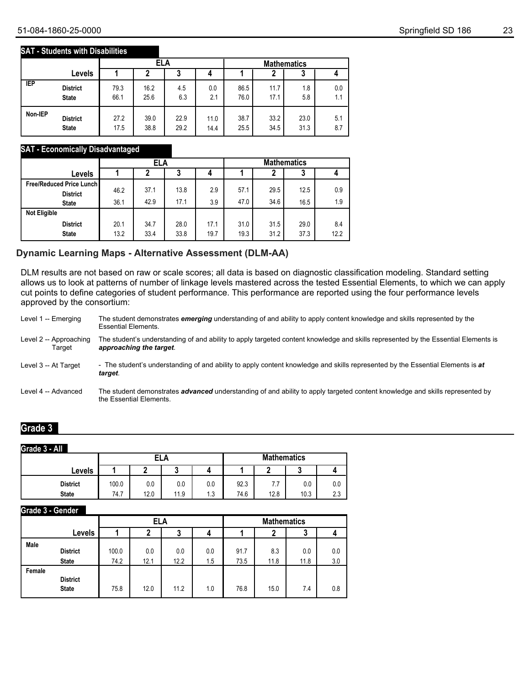#### **SAT - Students with Disabilities**

|            |                 |      | ELA  |      |      |      | <b>Mathematics</b> |      |     |  |
|------------|-----------------|------|------|------|------|------|--------------------|------|-----|--|
|            | Levels          |      |      | 3    |      |      | າ                  | 3    |     |  |
| <b>IEP</b> | <b>District</b> | 79.3 | 16.2 | 4.5  | 0.0  | 86.5 | 11.7               | 1.8  | 0.0 |  |
|            | <b>State</b>    | 66.1 | 25.6 | 6.3  | 2.1  | 76.0 | 17.1               | 5.8  | 1.1 |  |
| Non-IEP    | <b>District</b> | 27.2 | 39.0 | 22.9 | 11.0 | 38.7 | 33.2               | 23.0 | 5.1 |  |
|            | <b>State</b>    | 17.5 | 38.8 | 29.2 | 14.4 | 25.5 | 34.5               | 31.3 | 8.7 |  |

### **SAT - Economically Disadvantaged**

|                                 |              | <b>ELA</b>   |              |              |              | <b>Mathematics</b> |              |             |  |
|---------------------------------|--------------|--------------|--------------|--------------|--------------|--------------------|--------------|-------------|--|
| Levels                          |              |              | 3            | 4            |              |                    | J            |             |  |
| <b>Free/Reduced Price Lunch</b> | 46.2         | 37.1         | 13.8         | 2.9          | 57.1         | 29.5               | 12.5         | 0.9         |  |
| <b>District</b><br><b>State</b> | 36.1         | 42.9         | 17.1         | 3.9          | 47.0         | 34.6               | 16.5         | 1.9         |  |
| <b>Not Eligible</b>             |              |              |              |              |              |                    |              |             |  |
| <b>District</b><br><b>State</b> | 20.1<br>13.2 | 34.7<br>33.4 | 28.0<br>33.8 | 17.1<br>19.7 | 31.0<br>19.3 | 31.5<br>31.2       | 29.0<br>37.3 | 8.4<br>12.2 |  |

## **Dynamic Learning Maps - Alternative Assessment (DLM-AA)**

DLM results are not based on raw or scale scores; all data is based on diagnostic classification modeling. Standard setting allows us to look at patterns of number of linkage levels mastered across the tested Essential Elements, to which we can apply cut points to define categories of student performance. This performance are reported using the four performance levels approved by the consortium:

| Level 1 -- Emerging              | The student demonstrates emerging understanding of and ability to apply content knowledge and skills represented by the<br><b>Essential Elements.</b>          |
|----------------------------------|----------------------------------------------------------------------------------------------------------------------------------------------------------------|
| Level 2 -- Approaching<br>Target | The student's understanding of and ability to apply targeted content knowledge and skills represented by the Essential Elements is<br>approaching the target.  |
| Level 3 -- At Target             | - The student's understanding of and ability to apply content knowledge and skills represented by the Essential Elements is at<br>target.                      |
| Level 4 -- Advanced              | The student demonstrates <i>advanced</i> understanding of and ability to apply targeted content knowledge and skills represented by<br>the Essential Elements. |

### **Grade 3**

#### **Grade 3 - All**

|                 |       | ELA  |        |     | <b>Mathematics</b> |                  |      |     |
|-----------------|-------|------|--------|-----|--------------------|------------------|------|-----|
| Levels          |       |      | n<br>w |     |                    |                  | u    |     |
| <b>District</b> | 100.0 | 0.0  | 0.0    | 0.0 | 92.3               | $\mathfrak{c}$ . | 0.0  | 0.0 |
| <b>State</b>    | 74.7  | 12.0 | 11.9   | 1.3 | 74.6               | 12.8             | 10.3 | 2.3 |

#### **Grade 3 - Gender**

|        |                                 |               | ELA         |             |            | <b>Mathematics</b> |             |             |            |  |
|--------|---------------------------------|---------------|-------------|-------------|------------|--------------------|-------------|-------------|------------|--|
|        | Levels                          |               | 3           |             |            |                    | 2           | 3           |            |  |
| Male   | <b>District</b><br><b>State</b> | 100.0<br>74.2 | 0.0<br>12.1 | 0.0<br>12.2 | 0.0<br>1.5 | 91.7<br>73.5       | 8.3<br>11.8 | 0.0<br>11.8 | 0.0<br>3.0 |  |
| Female | <b>District</b><br><b>State</b> | 75.8          | 12.0        | 11.2        | 1.0        | 76.8               | 15.0        | 7.4         | 0.8        |  |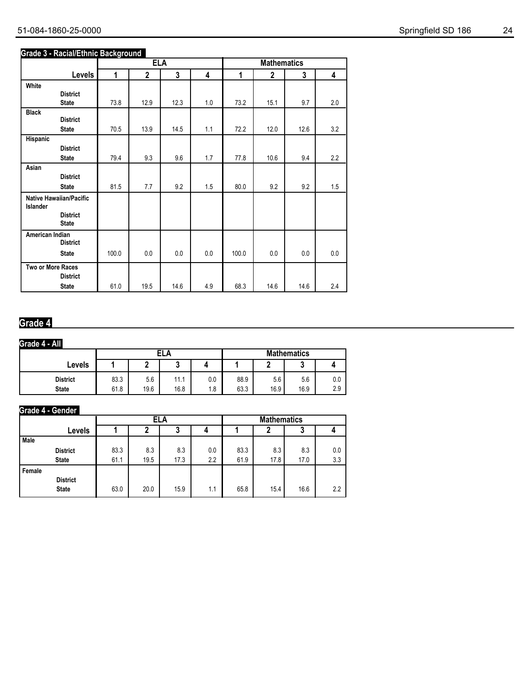| 51-084-1860-25-0000 | Springfield SD 186 | 24 |
|---------------------|--------------------|----|
|---------------------|--------------------|----|

### **Grade 3 - Racial/Ethnic Background**

|                                            |                                 |       | <b>ELA</b>  |      |     |       | <b>Mathematics</b> |      |     |
|--------------------------------------------|---------------------------------|-------|-------------|------|-----|-------|--------------------|------|-----|
|                                            | <b>Levels</b>                   | 1     | $\mathbf 2$ | 3    | 4   | 1     | $\mathbf 2$        | 3    | 4   |
| White                                      |                                 |       |             |      |     |       |                    |      |     |
|                                            | <b>District</b>                 |       |             |      |     |       |                    |      |     |
|                                            | <b>State</b>                    | 73.8  | 12.9        | 12.3 | 1.0 | 73.2  | 15.1               | 9.7  | 2.0 |
| <b>Black</b>                               | <b>District</b>                 |       |             |      |     |       |                    |      |     |
|                                            | <b>State</b>                    | 70.5  | 13.9        | 14.5 | 1.1 | 72.2  | 12.0               | 12.6 | 3.2 |
| Hispanic                                   |                                 |       |             |      |     |       |                    |      |     |
|                                            | <b>District</b>                 |       |             |      |     |       |                    |      |     |
|                                            | <b>State</b>                    | 79.4  | 9.3         | 9.6  | 1.7 | 77.8  | 10.6               | 9.4  | 2.2 |
| Asian                                      |                                 |       |             |      |     |       |                    |      |     |
|                                            | <b>District</b>                 |       |             |      |     |       |                    |      |     |
|                                            | <b>State</b>                    | 81.5  | 7.7         | 9.2  | 1.5 | 80.0  | 9.2                | 9.2  | 1.5 |
| <b>Native Hawaiian/Pacific</b><br>Islander |                                 |       |             |      |     |       |                    |      |     |
|                                            | <b>District</b><br><b>State</b> |       |             |      |     |       |                    |      |     |
| American Indian                            | <b>District</b>                 |       |             |      |     |       |                    |      |     |
|                                            | <b>State</b>                    | 100.0 | 0.0         | 0.0  | 0.0 | 100.0 | 0.0                | 0.0  | 0.0 |
| Two or More Races                          | <b>District</b>                 |       |             |      |     |       |                    |      |     |
|                                            | <b>State</b>                    | 61.0  | 19.5        | 14.6 | 4.9 | 68.3  | 14.6               | 14.6 | 2.4 |

## **Grade 4**

### **Grade 4 - All**

|                                 |              |             | <b>ELA</b>          |            | <b>Mathematics</b> |             |             |            |
|---------------------------------|--------------|-------------|---------------------|------------|--------------------|-------------|-------------|------------|
| Levels                          |              |             | ◠<br>               |            |                    |             |             |            |
| <b>District</b><br><b>State</b> | 83.3<br>61.8 | 5.6<br>19.6 | 11<br>1 L L<br>16.8 | 0.0<br>1.8 | 88.9<br>63.3       | 5.6<br>16.9 | 5.6<br>16.9 | 0.0<br>2.9 |

## **Grade 4 - Gender**

|        |                 |      | ELA  |      |     |      | <b>Mathematics</b> |      |               |  |
|--------|-----------------|------|------|------|-----|------|--------------------|------|---------------|--|
|        | Levels          |      |      | 3    |     |      |                    | J    |               |  |
| Male   |                 |      |      |      |     |      |                    |      |               |  |
|        | <b>District</b> | 83.3 | 8.3  | 8.3  | 0.0 | 83.3 | 8.3                | 8.3  | 0.0           |  |
|        | <b>State</b>    | 61.1 | 19.5 | 17.3 | 2.2 | 61.9 | 17.8               | 17.0 | 3.3           |  |
| Female |                 |      |      |      |     |      |                    |      |               |  |
|        | <b>District</b> |      |      |      |     |      |                    |      |               |  |
|        | <b>State</b>    | 63.0 | 20.0 | 15.9 | 1.1 | 65.8 | 15.4               | 16.6 | $2.2^{\circ}$ |  |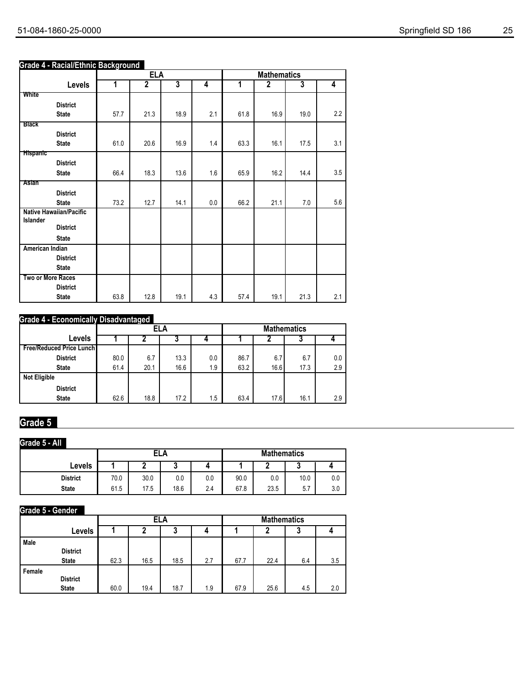### **Grade 4 - Racial/Ethnic Background**

|                                     |                 |      | <b>ELA</b>     |                         |     |      | <b>Mathematics</b> |                         |                         |
|-------------------------------------|-----------------|------|----------------|-------------------------|-----|------|--------------------|-------------------------|-------------------------|
|                                     | Levels          | 1    | $\overline{2}$ | $\overline{\mathbf{3}}$ | 4   | 1    | 2                  | $\overline{\mathbf{3}}$ | $\overline{\mathbf{4}}$ |
| White                               |                 |      |                |                         |     |      |                    |                         |                         |
| <b>State</b>                        | <b>District</b> | 57.7 | 21.3           | 18.9                    | 2.1 | 61.8 | 16.9               | 19.0                    | 2.2                     |
| <b>Black</b>                        |                 |      |                |                         |     |      |                    |                         |                         |
|                                     | <b>District</b> |      |                |                         |     |      |                    |                         |                         |
| <b>State</b>                        |                 | 61.0 | 20.6           | 16.9                    | 1.4 | 63.3 | 16.1               | 17.5                    | 3.1                     |
| <b>Hispanic</b>                     |                 |      |                |                         |     |      |                    |                         |                         |
|                                     | <b>District</b> |      |                |                         |     |      |                    |                         |                         |
| <b>State</b>                        |                 | 66.4 | 18.3           | 13.6                    | 1.6 | 65.9 | 16.2               | 14.4                    | 3.5                     |
| Asian                               |                 |      |                |                         |     |      |                    |                         |                         |
|                                     | <b>District</b> |      |                |                         |     |      |                    |                         |                         |
| <b>State</b>                        |                 | 73.2 | 12.7           | 14.1                    | 0.0 | 66.2 | 21.1               | 7.0                     | 5.6                     |
| Native Hawaiian/Pacific<br>Islander |                 |      |                |                         |     |      |                    |                         |                         |
|                                     | <b>District</b> |      |                |                         |     |      |                    |                         |                         |
| <b>State</b>                        |                 |      |                |                         |     |      |                    |                         |                         |
| <b>American Indian</b>              |                 |      |                |                         |     |      |                    |                         |                         |
|                                     | <b>District</b> |      |                |                         |     |      |                    |                         |                         |
| <b>State</b>                        |                 |      |                |                         |     |      |                    |                         |                         |
| <b>Two or More Races</b>            |                 |      |                |                         |     |      |                    |                         |                         |
|                                     | <b>District</b> |      |                |                         |     |      |                    |                         |                         |
| <b>State</b>                        |                 | 63.8 | 12.8           | 19.1                    | 4.3 | 57.4 | 19.1               | 21.3                    | 2.1                     |

### **Grade 4 - Economically Disadvantaged**

|                                 |      |      | <b>ELA</b> |     | <b>Mathematics</b> |      |      |     |
|---------------------------------|------|------|------------|-----|--------------------|------|------|-----|
| Levels                          |      |      | ν          |     |                    |      |      |     |
| <b>Free/Reduced Price Lunch</b> |      |      |            |     |                    |      |      |     |
| <b>District</b>                 | 80.0 | 6.7  | 13.3       | 0.0 | 86.7               | 6.7  | 6.7  | 0.0 |
| <b>State</b>                    | 61.4 | 20.1 | 16.6       | 1.9 | 63.2               | 16.6 | 17.3 | 2.9 |
| <b>Not Eligible</b>             |      |      |            |     |                    |      |      |     |
| <b>District</b>                 |      |      |            |     |                    |      |      |     |
| <b>State</b>                    | 62.6 | 18.8 | 17.2       | 1.5 | 63.4               | 17.6 | 16.1 | 2.9 |

# **Grade 5**

### **Grade 5 - All**

|                 |      | ELA  |      |     |      | <b>Mathematics</b> |      |     |  |
|-----------------|------|------|------|-----|------|--------------------|------|-----|--|
| Levels          |      |      | u    |     |      |                    |      |     |  |
| <b>District</b> | 70.0 | 30.0 | 0.0  | 0.0 | 90.0 | 0.0                | 10.0 | 0.0 |  |
| <b>State</b>    | 61.5 | 17.5 | 18.6 | 2.4 | 67.8 | 23.5               | 5.7  | 3.0 |  |

### **Grade 5 - Gender**

|        |                 |      |      | ELA  |     | <b>Mathematics</b> |      |     |     |
|--------|-----------------|------|------|------|-----|--------------------|------|-----|-----|
|        | Levels          |      | 2    | 3    |     |                    |      | 3   |     |
| Male   |                 |      |      |      |     |                    |      |     |     |
|        | <b>District</b> |      |      |      |     |                    |      |     |     |
|        | <b>State</b>    | 62.3 | 16.5 | 18.5 | 2.7 | 67.7               | 22.4 | 6.4 | 3.5 |
| Female |                 |      |      |      |     |                    |      |     |     |
|        | <b>District</b> |      |      |      |     |                    |      |     |     |
|        | <b>State</b>    | 60.0 | 19.4 | 18.7 | 1.9 | 67.9               | 25.6 | 4.5 | 2.0 |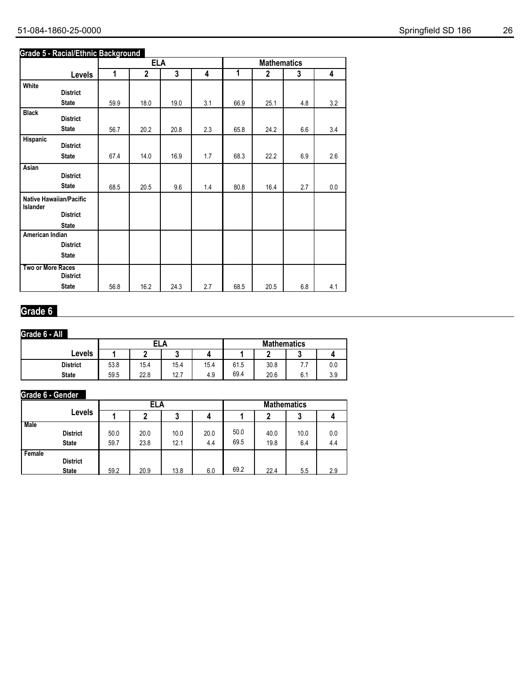## 51-084-1860-25-0000 Springfield SD 186 26

### **Grade 5 - Racial/Ethnic Background**

|                   |                                |      | <b>ELA</b>   |      |     |      | <b>Mathematics</b> |     |     |
|-------------------|--------------------------------|------|--------------|------|-----|------|--------------------|-----|-----|
|                   | <b>Levels</b>                  | 1    | $\mathbf{2}$ | 3    | 4   | 1    | $\mathbf 2$        | 3   | 4   |
| White             |                                |      |              |      |     |      |                    |     |     |
|                   | <b>District</b>                |      |              |      |     |      |                    |     |     |
|                   | <b>State</b>                   | 59.9 | 18.0         | 19.0 | 3.1 | 66.9 | 25.1               | 4.8 | 3.2 |
| <b>Black</b>      | <b>District</b>                |      |              |      |     |      |                    |     |     |
|                   | <b>State</b>                   | 56.7 | 20.2         | 20.8 | 2.3 | 65.8 | 24.2               | 6.6 | 3.4 |
| Hispanic          | <b>District</b>                |      |              |      |     |      |                    |     |     |
|                   |                                |      |              |      |     |      |                    |     |     |
|                   | <b>State</b>                   | 67.4 | 14.0         | 16.9 | 1.7 | 68.3 | 22.2               | 6.9 | 2.6 |
| Asian             |                                |      |              |      |     |      |                    |     |     |
|                   | <b>District</b>                |      |              |      |     |      |                    |     |     |
|                   | <b>State</b>                   | 68.5 | 20.5         | 9.6  | 1.4 | 80.8 | 16.4               | 2.7 | 0.0 |
| Islander          | <b>Native Hawaiian/Pacific</b> |      |              |      |     |      |                    |     |     |
|                   | <b>District</b>                |      |              |      |     |      |                    |     |     |
|                   | <b>State</b>                   |      |              |      |     |      |                    |     |     |
| American Indian   |                                |      |              |      |     |      |                    |     |     |
|                   | <b>District</b>                |      |              |      |     |      |                    |     |     |
|                   | <b>State</b>                   |      |              |      |     |      |                    |     |     |
| Two or More Races |                                |      |              |      |     |      |                    |     |     |
|                   | <b>District</b>                |      |              |      |     |      |                    |     |     |
|                   | <b>State</b>                   | 56.8 | 16.2         | 24.3 | 2.7 | 68.5 | 20.5               | 6.8 | 4.1 |

## **Grade 6**

## **Grade 6 - All**

|                 |      | ELA  |      |      |      | <b>Mathematics</b> |     |     |  |
|-----------------|------|------|------|------|------|--------------------|-----|-----|--|
| Levels          |      |      | v    |      |      |                    | u   |     |  |
| <b>District</b> | 53.8 | 15.4 | 15.4 | 15.4 | 61.5 | 30.8               | .   | 0.0 |  |
| <b>State</b>    | 59.5 | 22.8 | 12.7 | 4.9  | 69.4 | 20.6               | 6.1 | 3.9 |  |

### **Grade 6 - Gender**

|             |                                 | ELA          |              |              |             | <b>Mathematics</b> |              |             |            |
|-------------|---------------------------------|--------------|--------------|--------------|-------------|--------------------|--------------|-------------|------------|
|             | Levels                          |              |              | ა            |             |                    |              | J           |            |
| <b>Male</b> | <b>District</b><br><b>State</b> | 50.0<br>59.7 | 20.0<br>23.8 | 10.0<br>12.1 | 20.0<br>4.4 | 50.0<br>69.5       | 40.0<br>19.8 | 10.0<br>6.4 | 0.0<br>4.4 |
| Female      | <b>District</b><br><b>State</b> | 59.2         | 20.9         | 13.8         | 6.0         | 69.2               | 22.4         | 5.5         | 2.9        |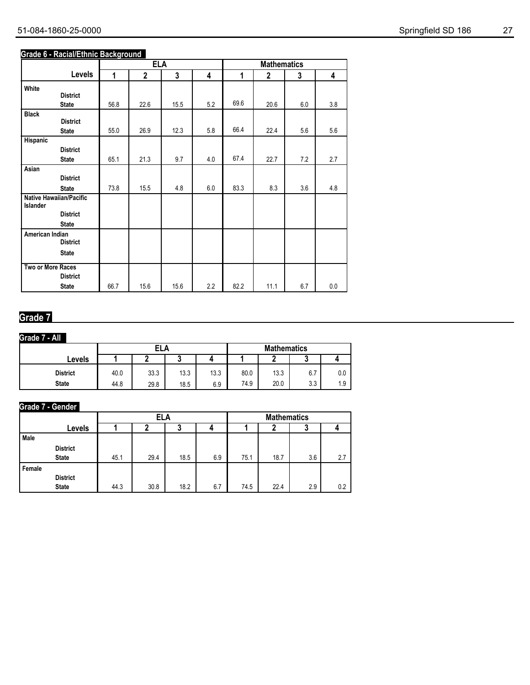## 51-084-1860-25-0000 Springfield SD 186 27

### **Grade 6 - Racial/Ethnic Background**

|                   |                         |      | <b>ELA</b>   |      |     | <b>Mathematics</b> |              |     |         |  |
|-------------------|-------------------------|------|--------------|------|-----|--------------------|--------------|-----|---------|--|
|                   | Levels                  | 1    | $\mathbf{2}$ | 3    | 4   | 1                  | $\mathbf{2}$ | 3   | 4       |  |
| White             |                         |      |              |      |     |                    |              |     |         |  |
|                   | <b>District</b>         |      |              |      |     |                    |              |     |         |  |
|                   | <b>State</b>            | 56.8 | 22.6         | 15.5 | 5.2 | 69.6               | 20.6         | 6.0 | 3.8     |  |
| <b>Black</b>      |                         |      |              |      |     |                    |              |     |         |  |
|                   | <b>District</b>         |      |              |      |     | 66.4               |              |     |         |  |
|                   | <b>State</b>            | 55.0 | 26.9         | 12.3 | 5.8 |                    | 22.4         | 5.6 | 5.6     |  |
| Hispanic          |                         |      |              |      |     |                    |              |     |         |  |
|                   | <b>District</b>         |      | 21.3         | 9.7  | 4.0 | 67.4               | 22.7         |     | 2.7     |  |
|                   | <b>State</b>            | 65.1 |              |      |     |                    |              | 7.2 |         |  |
| Asian             | <b>District</b>         |      |              |      |     |                    |              |     |         |  |
|                   |                         |      |              |      |     |                    |              |     |         |  |
|                   | <b>State</b>            | 73.8 | 15.5         | 4.8  | 6.0 | 83.3               | 8.3          | 3.6 | 4.8     |  |
| Islander          | Native Hawaiian/Pacific |      |              |      |     |                    |              |     |         |  |
|                   | <b>District</b>         |      |              |      |     |                    |              |     |         |  |
|                   | <b>State</b>            |      |              |      |     |                    |              |     |         |  |
| American Indian   |                         |      |              |      |     |                    |              |     |         |  |
|                   | <b>District</b>         |      |              |      |     |                    |              |     |         |  |
|                   | <b>State</b>            |      |              |      |     |                    |              |     |         |  |
| Two or More Races |                         |      |              |      |     |                    |              |     |         |  |
|                   | <b>District</b>         |      |              |      |     |                    |              |     |         |  |
|                   | <b>State</b>            | 66.7 | 15.6         | 15.6 | 2.2 | 82.2               | 11.1         | 6.7 | $0.0\,$ |  |

## **Grade 7**

## **Grade 7 - All**

|                 |      | ELA  |      |      |      | <b>Mathematics</b> |     |     |  |
|-----------------|------|------|------|------|------|--------------------|-----|-----|--|
| Levels          |      |      | u    |      |      |                    |     |     |  |
| <b>District</b> | 40.0 | 33.3 | 13.3 | 13.3 | 80.0 | 13.3               | 6.7 | 0.0 |  |
| <b>State</b>    | 44.8 | 29.8 | 18.5 | 6.9  | 74.9 | 20.0               | 3.3 | 1.9 |  |

## **Grade 7 - Gender**

|             |                 |      | ELA  |      |     | <b>Mathematics</b> |      |     |     |
|-------------|-----------------|------|------|------|-----|--------------------|------|-----|-----|
|             | Levels          |      |      | J    |     |                    |      | u   |     |
| <b>Male</b> |                 |      |      |      |     |                    |      |     |     |
|             | <b>District</b> |      |      |      |     |                    |      |     |     |
|             | <b>State</b>    | 45.1 | 29.4 | 18.5 | 6.9 | 75.1               | 18.7 | 3.6 | 2.7 |
| Female      |                 |      |      |      |     |                    |      |     |     |
|             | <b>District</b> |      |      |      |     |                    |      |     |     |
|             | <b>State</b>    | 44.3 | 30.8 | 18.2 | 6.7 | 74.5               | 22.4 | 2.9 | 0.2 |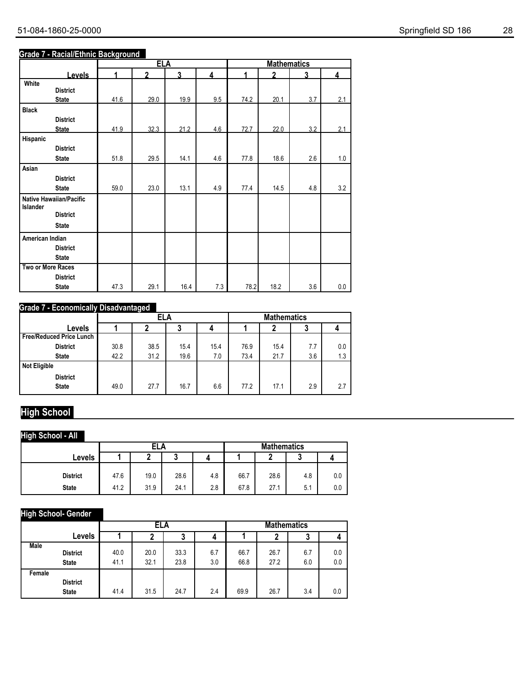## **Grade 7 - Racial/Ethnic Background**

|                                |      | <b>ELA</b>   |      |                | <b>Mathematics</b>   |              |     |     |  |
|--------------------------------|------|--------------|------|----------------|----------------------|--------------|-----|-----|--|
| <b>Levels</b>                  | 1    | $\mathbf{z}$ | 3    | $\overline{4}$ | $\blacktriangleleft$ | $\mathbf{v}$ | 3   | 4   |  |
| White                          |      |              |      |                |                      |              |     |     |  |
| <b>District</b>                |      |              |      |                |                      |              |     |     |  |
| <b>State</b>                   | 41.6 | 29.0         | 19.9 | 9.5            | 74.2                 | 20.1         | 3.7 | 2.1 |  |
| <b>Black</b>                   |      |              |      |                |                      |              |     |     |  |
| <b>District</b>                |      |              |      |                |                      |              |     |     |  |
| <b>State</b>                   | 41.9 | 32.3         | 21.2 | 4.6            | 72.7                 | 22.0         | 3.2 | 2.1 |  |
| Hispanic                       |      |              |      |                |                      |              |     |     |  |
| <b>District</b>                |      |              |      |                |                      |              |     |     |  |
| <b>State</b>                   | 51.8 | 29.5         | 14.1 | 4.6            | 77.8                 | 18.6         | 2.6 | 1.0 |  |
| Asian                          |      |              |      |                |                      |              |     |     |  |
| <b>District</b>                |      |              |      |                |                      |              |     |     |  |
| <b>State</b>                   | 59.0 | 23.0         | 13.1 | 4.9            | 77.4                 | 14.5         | 4.8 | 3.2 |  |
| <b>Native Hawaiian/Pacific</b> |      |              |      |                |                      |              |     |     |  |
| Islander<br><b>District</b>    |      |              |      |                |                      |              |     |     |  |
|                                |      |              |      |                |                      |              |     |     |  |
| <b>State</b>                   |      |              |      |                |                      |              |     |     |  |
| American Indian                |      |              |      |                |                      |              |     |     |  |
| <b>District</b>                |      |              |      |                |                      |              |     |     |  |
| <b>State</b>                   |      |              |      |                |                      |              |     |     |  |
| Two or More Races              |      |              |      |                |                      |              |     |     |  |
| <b>District</b>                |      |              |      |                |                      |              |     |     |  |
| <b>State</b>                   | 47.3 | 29.1         | 16.4 | 7.3            | 78.2                 | 18.2         | 3.6 | 0.0 |  |

### **Grade 7 - Economically Disadvantaged**

|                                 |      | ELA  |      |      |      | <b>Mathematics</b> |     |     |  |
|---------------------------------|------|------|------|------|------|--------------------|-----|-----|--|
| Levels                          |      |      | J    |      |      |                    | u   |     |  |
| <b>Free/Reduced Price Lunch</b> |      |      |      |      |      |                    |     |     |  |
| <b>District</b>                 | 30.8 | 38.5 | 15.4 | 15.4 | 76.9 | 15.4               | 7.7 | 0.0 |  |
| <b>State</b>                    | 42.2 | 31.2 | 19.6 | 7.0  | 73.4 | 21.7               | 3.6 | 1.3 |  |
| <b>Not Eligible</b>             |      |      |      |      |      |                    |     |     |  |
| <b>District</b>                 |      |      |      |      |      |                    |     |     |  |
| <b>State</b>                    | 49.0 | 27.7 | 16.7 | 6.6  | 77.2 | 17.1               | 2.9 | 2.7 |  |

# **High School**

### **High School - All**

|                 |      | ELA  |      |     |      | <b>Mathematics</b> |     |     |  |
|-----------------|------|------|------|-----|------|--------------------|-----|-----|--|
| Levels          |      |      | u    |     |      |                    |     |     |  |
|                 |      |      |      |     |      |                    |     |     |  |
| <b>District</b> | 47.6 | 19.0 | 28.6 | 4.8 | 66.7 | 28.6               | 4.8 | 0.0 |  |
| <b>State</b>    | 41.2 | 31.9 | 24.1 | 2.8 | 67.8 | 27.1               | 5.1 | 0.0 |  |

## **High School- Gender**

|             |                                 |              | ELA          |              |            | <b>Mathematics</b> |              |            |            |
|-------------|---------------------------------|--------------|--------------|--------------|------------|--------------------|--------------|------------|------------|
|             | Levels                          |              | 2            | J            | 4          |                    | 2            | 3          | 4          |
| <b>Male</b> | <b>District</b><br><b>State</b> | 40.0<br>41.1 | 20.0<br>32.1 | 33.3<br>23.8 | 6.7<br>3.0 | 66.7<br>66.8       | 26.7<br>27.2 | 6.7<br>6.0 | 0.0<br>0.0 |
| Female      | <b>District</b><br><b>State</b> | 41.4         | 31.5         | 24.7         | 2.4        | 69.9               | 26.7         | 3.4        | 0.0        |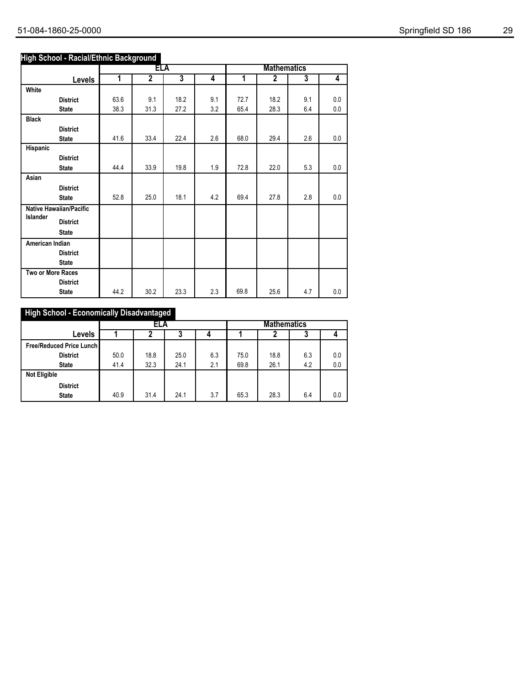### **High School - Racial/Ethnic Background**

|                   |                                |                         | ELA            |                |     | <b>Mathematics</b> |                |                         |     |
|-------------------|--------------------------------|-------------------------|----------------|----------------|-----|--------------------|----------------|-------------------------|-----|
|                   | <b>Levels</b>                  | $\overline{\mathbf{1}}$ | $\overline{2}$ | $\overline{3}$ | 4   | 1                  | $\overline{2}$ | $\overline{\mathbf{3}}$ | 4   |
| White             |                                |                         |                |                |     |                    |                |                         |     |
|                   | <b>District</b>                | 63.6                    | 9.1            | 18.2           | 9.1 | 72.7               | 18.2           | 9.1                     | 0.0 |
|                   | <b>State</b>                   | 38.3                    | 31.3           | 27.2           | 3.2 | 65.4               | 28.3           | 6.4                     | 0.0 |
| <b>Black</b>      |                                |                         |                |                |     |                    |                |                         |     |
|                   | <b>District</b>                |                         |                |                |     |                    |                |                         |     |
|                   | <b>State</b>                   | 41.6                    | 33.4           | 22.4           | 2.6 | 68.0               | 29.4           | 2.6                     | 0.0 |
| Hispanic          |                                |                         |                |                |     |                    |                |                         |     |
|                   | <b>District</b>                |                         |                |                |     |                    |                |                         |     |
|                   | <b>State</b>                   | 44.4                    | 33.9           | 19.8           | 1.9 | 72.8               | 22.0           | 5.3                     | 0.0 |
| Asian             |                                |                         |                |                |     |                    |                |                         |     |
|                   | <b>District</b>                |                         |                |                |     |                    |                |                         |     |
|                   | <b>State</b>                   | 52.8                    | 25.0           | 18.1           | 4.2 | 69.4               | 27.8           | 2.8                     | 0.0 |
| Islander          | <b>Native Hawaiian/Pacific</b> |                         |                |                |     |                    |                |                         |     |
|                   | <b>District</b>                |                         |                |                |     |                    |                |                         |     |
|                   | <b>State</b>                   |                         |                |                |     |                    |                |                         |     |
| American Indian   |                                |                         |                |                |     |                    |                |                         |     |
|                   | <b>District</b>                |                         |                |                |     |                    |                |                         |     |
|                   | <b>State</b>                   |                         |                |                |     |                    |                |                         |     |
| Two or More Races |                                |                         |                |                |     |                    |                |                         |     |
|                   | <b>District</b>                |                         |                |                |     |                    |                |                         |     |
|                   | <b>State</b>                   | 44.2                    | 30.2           | 23.3           | 2.3 | 69.8               | 25.6           | 4.7                     | 0.0 |

## **High School - Economically Disadvantaged**

|                                 | ELA  |      |      |     | <b>Mathematics</b> |      |     |     |
|---------------------------------|------|------|------|-----|--------------------|------|-----|-----|
| Levels                          |      |      | د    |     |                    | 2    | J   |     |
| <b>Free/Reduced Price Lunch</b> |      |      |      |     |                    |      |     |     |
| <b>District</b>                 | 50.0 | 18.8 | 25.0 | 6.3 | 75.0               | 18.8 | 6.3 | 0.0 |
| <b>State</b>                    | 41.4 | 32.3 | 24.1 | 2.1 | 69.8               | 26.1 | 4.2 | 0.0 |
| <b>Not Eligible</b>             |      |      |      |     |                    |      |     |     |
| <b>District</b>                 |      |      |      |     |                    |      |     |     |
| <b>State</b>                    | 40.9 | 31.4 | 24.1 | 3.7 | 65.3               | 28.3 | 6.4 | 0.0 |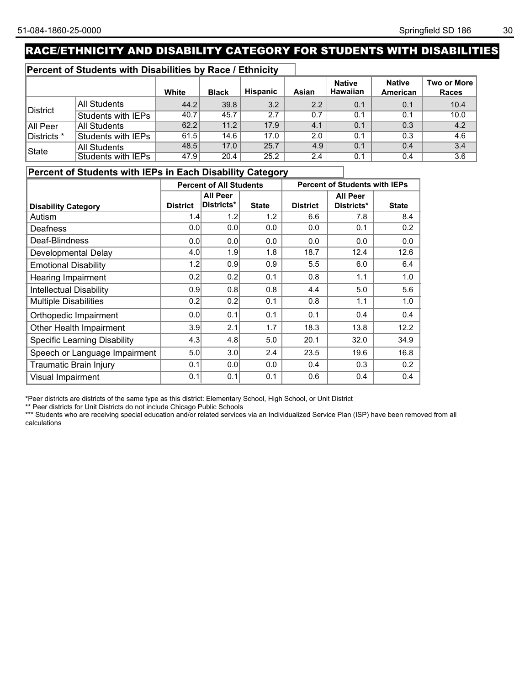# RACE/ETHNICITY AND DISABILITY CATEGORY FOR STUDENTS WITH DISABILITIES

### **Percent of Students with Disabilities by Race / Ethnicity**

|             |                           | White | <b>Black</b> | <b>Hispanic</b> | Asian         | <b>Native</b><br><b>Hawaiian</b> | <b>Native</b><br>American | Two or More  <br><b>Races</b> |
|-------------|---------------------------|-------|--------------|-----------------|---------------|----------------------------------|---------------------------|-------------------------------|
|             | All Students              | 44.2  | 39.8         | 3.2             | 2.2           | 0.1                              | 0.1                       | 10.4                          |
| District    | Students with IEPs        | 40.7  | 45.7         | 2.7             | 0.7           | 0.1                              | 0.1                       | 10.0                          |
| All Peer    | <b>All Students</b>       | 62.2  | 11.2         | 17.9            | 4.1           | 0.1                              | 0.3                       | 4.2                           |
| Districts * | Students with IEPs        | 61.5  | 14.6         | 17.0            | 2.0           | 0.1                              | 0.3                       | 4.6                           |
| State       | <b>All Students</b>       | 48.5  | 17.0         | 25.7            | 4.9           | 0.1                              | 0.4                       | 3.4                           |
|             | <b>Students with IEPs</b> | 47.9  | 20.4         | 25.2            | $2.4^{\circ}$ | 0.1                              | 0.4                       | 3.6                           |

### **Percent of Students with IEPs in Each Disability Category**

|                                     | <b>Percent of All Students</b> |                 |              | <b>Percent of Students with IEPs</b> |                 |              |
|-------------------------------------|--------------------------------|-----------------|--------------|--------------------------------------|-----------------|--------------|
|                                     |                                | <b>All Peer</b> |              |                                      | <b>All Peer</b> |              |
| <b>Disability Category</b>          | <b>District</b>                | Districts*      | <b>State</b> | <b>District</b>                      | Districts*      | <b>State</b> |
| Autism                              | 1.4                            | 1.2             | 1.2          | 6.6                                  | 7.8             | 8.4          |
| Deafness                            | 0.0                            | 0.0             | 0.0          | 0.0                                  | 0.1             | 0.2          |
| Deaf-Blindness                      | 0.0                            | 0.0             | 0.0          | 0.0                                  | 0.0             | 0.0          |
| Developmental Delay                 | 4.0                            | 1.9             | 1.8          | 18.7                                 | 12.4            | 12.6         |
| <b>Emotional Disability</b>         | 1.2                            | 0.9             | 0.9          | 5.5                                  | 6.0             | 6.4          |
| <b>Hearing Impairment</b>           | 0.2                            | 0.2             | 0.1          | 0.8                                  | 1.1             | 1.0          |
| <b>Intellectual Disability</b>      | 0.9                            | 0.8             | 0.8          | 4.4                                  | 5.0             | 5.6          |
| <b>Multiple Disabilities</b>        | 0.2                            | 0.2             | 0.1          | 0.8                                  | 1.1             | 1.0          |
| Orthopedic Impairment               | 0.0                            | 0.1             | 0.1          | 0.1                                  | 0.4             | 0.4          |
| Other Health Impairment             | 3.9                            | 2.1             | 1.7          | 18.3                                 | 13.8            | 12.2         |
| <b>Specific Learning Disability</b> | 4.3                            | 4.8             | 5.0          | 20.1                                 | 32.0            | 34.9         |
| Speech or Language Impairment       | 5.0                            | 3.0             | 2.4          | 23.5                                 | 19.6            | 16.8         |
| Traumatic Brain Injury              | 0.1                            | 0.0             | 0.0          | 0.4                                  | 0.3             | 0.2          |
| Visual Impairment                   | 0.1                            | 0.1             | 0.1          | 0.6                                  | 0.4             | 0.4          |

\*Peer districts are districts of the same type as this district: Elementary School, High School, or Unit District

\*\* Peer districts for Unit Districts do not include Chicago Public Schools

\*\*\* Students who are receiving special education and/or related services via an Individualized Service Plan (ISP) have been removed from all<br>\*\*\* Students who are receiving special education and/or related services via an I calculations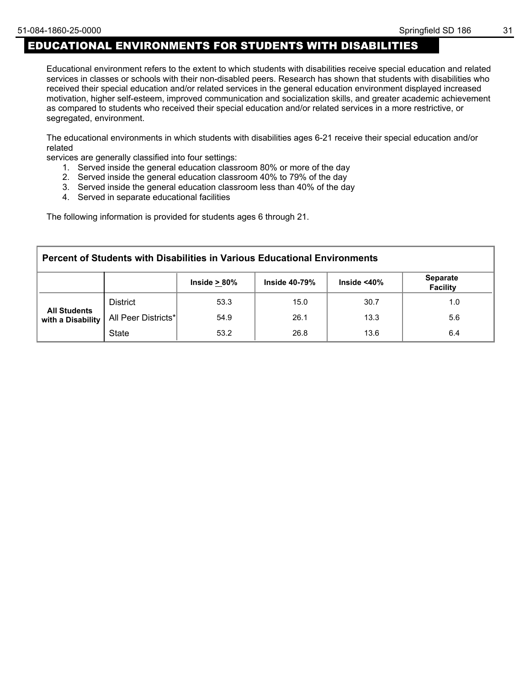## EDUCATIONAL ENVIRONMENTS FOR STUDENTS WITH DISABILITIES

Educational environment refers to the extent to which students with disabilities receive special education and related services in classes or schools with their non-disabled peers. Research has shown that students with disabilities who received their special education and/or related services in the general education environment displayed increased motivation, higher self-esteem, improved communication and socialization skills, and greater academic achievement as compared to students who received their special education and/or related services in a more restrictive, or segregated, environment.

The educational environments in which students with disabilities ages 6-21 receive their special education and/or related

services are generally classified into four settings:

- 1. Served inside the general education classroom 80% or more of the day
- 2. Served inside the general education classroom 40% to 79% of the day
- 3. Served inside the general education classroom less than 40% of the day
- 4. Served in separate educational facilities

The following information is provided for students ages 6 through 21.

| Percent of Students with Disabilities in Various Educational Environments                           |                     |      |      |      |     |  |  |
|-----------------------------------------------------------------------------------------------------|---------------------|------|------|------|-----|--|--|
| <b>Separate</b><br>Inside $<$ 40 $\%$<br>Inside $> 80\%$<br><b>Inside 40-79%</b><br><b>Facility</b> |                     |      |      |      |     |  |  |
| <b>All Students</b><br>with a Disability                                                            | <b>District</b>     | 53.3 | 15.0 | 30.7 | 1.0 |  |  |
|                                                                                                     | All Peer Districts* | 54.9 | 26.1 | 13.3 | 5.6 |  |  |
|                                                                                                     | <b>State</b>        | 53.2 | 26.8 | 13.6 | 6.4 |  |  |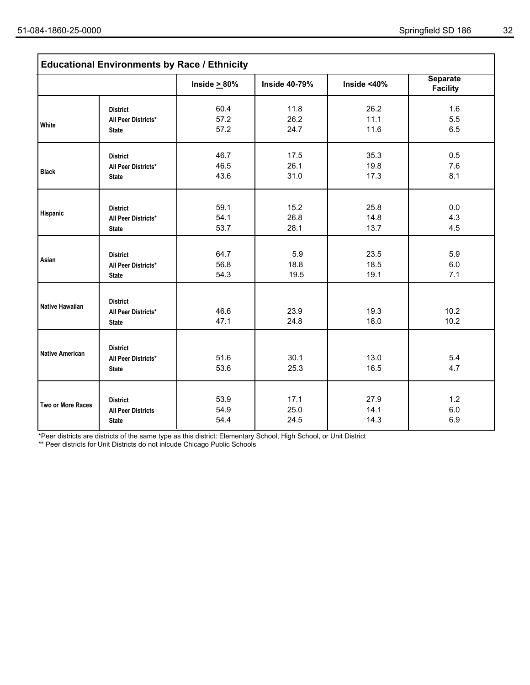|                        | <b>Educational Environments by Race / Ethnicity</b> |                    |                      |             |                                    |
|------------------------|-----------------------------------------------------|--------------------|----------------------|-------------|------------------------------------|
|                        |                                                     | Inside $\geq 80\%$ | <b>Inside 40-79%</b> | Inside <40% | <b>Separate</b><br><b>Facility</b> |
|                        | <b>District</b>                                     | 60.4               | 11.8                 | 26.2        | 1.6                                |
| White                  | All Peer Districts*                                 | 57.2               | 26.2                 | 11.1        | 5.5                                |
|                        | <b>State</b>                                        | 57.2               | 24.7                 | 11.6        | 6.5                                |
|                        | <b>District</b>                                     | 46.7               | 17.5                 | 35.3        | 0.5                                |
|                        | All Peer Districts*                                 | 46.5               | 26.1                 | 19.8        | 7.6                                |
| <b>Black</b>           | <b>State</b>                                        | 43.6               | 31.0                 | 17.3        | 8.1                                |
|                        |                                                     |                    |                      |             |                                    |
| Hispanic               | <b>District</b>                                     | 59.1               | 15.2                 | 25.8        | 0.0                                |
|                        | All Peer Districts*                                 | 54.1               | 26.8                 | 14.8        | 4.3                                |
|                        | <b>State</b>                                        | 53.7               | 28.1                 | 13.7        | 4.5                                |
|                        | <b>District</b>                                     | 64.7               | 5.9                  | 23.5        | 5.9                                |
| Asian                  | All Peer Districts*                                 | 56.8               | 18.8                 | 18.5        | 6.0                                |
|                        | <b>State</b>                                        | 54.3               | 19.5                 | 19.1        | 7.1                                |
|                        |                                                     |                    |                      |             |                                    |
| <b>Native Hawaiian</b> | <b>District</b><br>All Peer Districts*              | 46.6               | 23.9                 | 19.3        | 10.2                               |
|                        | <b>State</b>                                        | 47.1               | 24.8                 | 18.0        | 10.2                               |
|                        |                                                     |                    |                      |             |                                    |
|                        | <b>District</b>                                     |                    |                      |             |                                    |
| <b>Native American</b> | All Peer Districts*                                 | 51.6               | 30.1                 | 13.0        | 5.4                                |
|                        | <b>State</b>                                        | 53.6               | 25.3                 | 16.5        | 4.7                                |
|                        |                                                     |                    |                      |             |                                    |
| Two or More Races      | <b>District</b>                                     | 53.9               | 17.1                 | 27.9        | 1.2                                |
|                        | <b>All Peer Districts</b>                           | 54.9               | 25.0                 | 14.1        | 6.0                                |
|                        | <b>State</b>                                        | 54.4               | 24.5                 | 14.3        | 6.9                                |

\*Peer districts are districts of the same type as this district: Elementary School, High School, or Unit District

\*\* Peer districts for Unit Districts do not inlcude Chicago Public Schools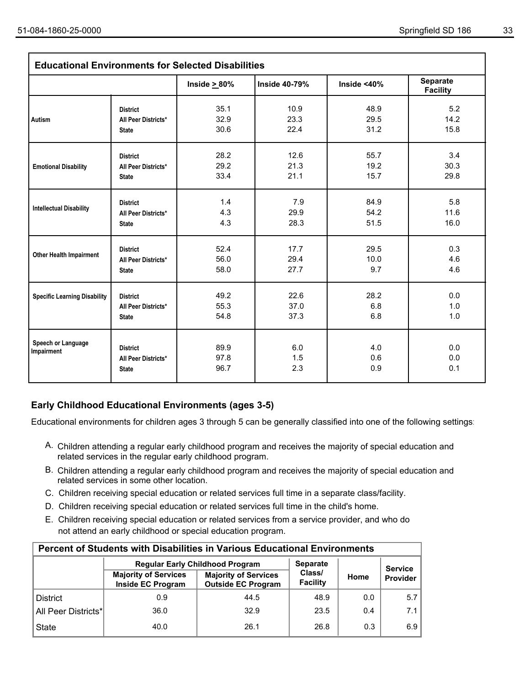| <b>Educational Environments for Selected Disabilities</b> |                                                        |                      |                      |                     |                                    |  |  |
|-----------------------------------------------------------|--------------------------------------------------------|----------------------|----------------------|---------------------|------------------------------------|--|--|
|                                                           |                                                        | Inside $\geq 80\%$   | <b>Inside 40-79%</b> | Inside $<$ 40%      | <b>Separate</b><br><b>Facility</b> |  |  |
|                                                           | <b>District</b>                                        | 35.1                 | 10.9                 | 48.9                | 5.2                                |  |  |
| <b>Autism</b>                                             | All Peer Districts*<br><b>State</b>                    | 32.9<br>30.6         | 23.3<br>22.4         | 29.5<br>31.2        | 14.2<br>15.8                       |  |  |
|                                                           | <b>District</b><br>All Peer Districts*                 | 28.2<br>29.2         | 12.6<br>21.3         | 55.7<br>19.2        | 3.4<br>30.3                        |  |  |
| <b>Emotional Disability</b>                               | <b>State</b>                                           | 33.4                 | 21.1                 | 15.7                | 29.8                               |  |  |
| <b>Intellectual Disability</b>                            | <b>District</b><br>All Peer Districts*                 | 1.4<br>4.3           | 7.9<br>29.9          | 84.9<br>54.2        | 5.8<br>11.6                        |  |  |
|                                                           | <b>State</b>                                           | 4.3                  | 28.3                 | 51.5                | 16.0                               |  |  |
| <b>Other Health Impairment</b>                            | <b>District</b><br>All Peer Districts*<br><b>State</b> | 52.4<br>56.0<br>58.0 | 17.7<br>29.4<br>27.7 | 29.5<br>10.0<br>9.7 | 0.3<br>4.6<br>4.6                  |  |  |
| <b>Specific Learning Disability</b>                       | <b>District</b><br>All Peer Districts*<br><b>State</b> | 49.2<br>55.3<br>54.8 | 22.6<br>37.0<br>37.3 | 28.2<br>6.8<br>6.8  | 0.0<br>1.0<br>1.0                  |  |  |
| Speech or Language<br>Impairment                          | <b>District</b><br>All Peer Districts*<br><b>State</b> | 89.9<br>97.8<br>96.7 | 6.0<br>1.5<br>2.3    | 4.0<br>0.6<br>0.9   | 0.0<br>0.0<br>0.1                  |  |  |

### **Early Childhood Educational Environments (ages 3-5)**

Educational environments for children ages 3 through 5 can be generally classified into one of the following settings:

- A. Children attending a regular early childhood program and receives the majority of special education and related services in the regular early childhood program.
- B. Children attending a regular early childhood program and receives the majority of special education and related services in some other location.
- C. Children receiving special education or related services full time in a separate class/facility.
- D. Children receiving special education or related services full time in the child's home.
- E. Children receiving special education or related services from a service provider, and who do not attend an early childhood or special education program.

| <b>Percent of Students with Disabilities in Various Educational Environments</b> |                                                  |                                                          |                    |                |          |  |  |  |  |
|----------------------------------------------------------------------------------|--------------------------------------------------|----------------------------------------------------------|--------------------|----------------|----------|--|--|--|--|
|                                                                                  | <b>Regular Early Childhood Program</b>           | <b>Separate</b>                                          |                    | <b>Service</b> |          |  |  |  |  |
|                                                                                  | <b>Majority of Services</b><br>Inside EC Program | <b>Majority of Services</b><br><b>Outside EC Program</b> | Class/<br>Facility | Home           | Provider |  |  |  |  |
| <b>District</b>                                                                  | 0.9                                              | 44.5                                                     | 48.9               | 0.0            | 5.7      |  |  |  |  |
| All Peer Districts*                                                              | 36.0                                             | 32.9                                                     | 23.5               | 0.4            | 7.1      |  |  |  |  |
| <b>State</b>                                                                     | 40.0                                             | 26.1                                                     | 26.8               | 0.3            | 6.9      |  |  |  |  |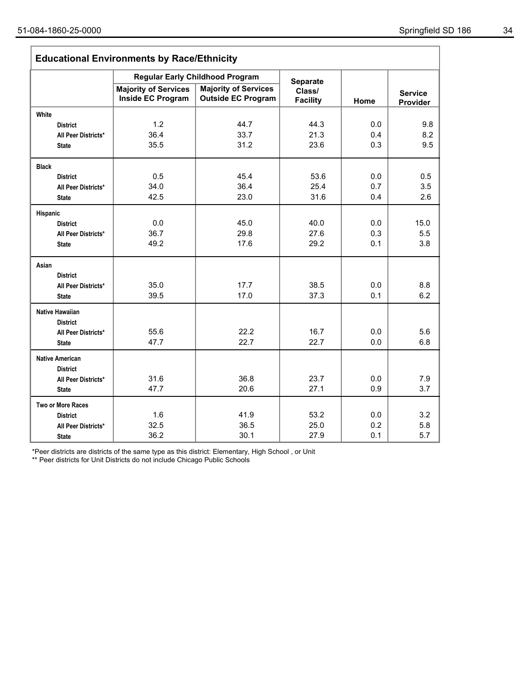| <b>Educational Environments by Race/Ethnicity</b> |                                                         |                                                          |                           |      |                            |  |  |
|---------------------------------------------------|---------------------------------------------------------|----------------------------------------------------------|---------------------------|------|----------------------------|--|--|
|                                                   |                                                         | <b>Regular Early Childhood Program</b>                   | <b>Separate</b>           |      |                            |  |  |
|                                                   | <b>Majority of Services</b><br><b>Inside EC Program</b> | <b>Majority of Services</b><br><b>Outside EC Program</b> | Class/<br><b>Facility</b> | Home | <b>Service</b><br>Provider |  |  |
| White                                             |                                                         |                                                          |                           |      |                            |  |  |
| <b>District</b>                                   | 1.2                                                     | 44.7                                                     | 44.3                      | 0.0  | 9.8                        |  |  |
| All Peer Districts*                               | 36.4                                                    | 33.7                                                     | 21.3                      | 0.4  | 8.2                        |  |  |
| <b>State</b>                                      | 35.5                                                    | 31.2                                                     | 23.6                      | 0.3  | 9.5                        |  |  |
| <b>Black</b>                                      |                                                         |                                                          |                           |      |                            |  |  |
| <b>District</b>                                   | 0.5                                                     | 45.4                                                     | 53.6                      | 0.0  | 0.5                        |  |  |
| All Peer Districts*                               | 34.0                                                    | 36.4                                                     | 25.4                      | 0.7  | 3.5                        |  |  |
| <b>State</b>                                      | 42.5                                                    | 23.0                                                     | 31.6                      | 0.4  | 2.6                        |  |  |
| Hispanic                                          |                                                         |                                                          |                           |      |                            |  |  |
| <b>District</b>                                   | 0.0                                                     | 45.0                                                     | 40.0                      | 0.0  | 15.0                       |  |  |
| All Peer Districts*                               | 36.7                                                    | 29.8                                                     | 27.6                      | 0.3  | 5.5                        |  |  |
| <b>State</b>                                      | 49.2                                                    | 17.6                                                     | 29.2                      | 0.1  | 3.8                        |  |  |
| Asian                                             |                                                         |                                                          |                           |      |                            |  |  |
| <b>District</b>                                   |                                                         |                                                          |                           |      |                            |  |  |
| All Peer Districts*                               | 35.0                                                    | 17.7                                                     | 38.5                      | 0.0  | 8.8                        |  |  |
| <b>State</b>                                      | 39.5                                                    | 17.0                                                     | 37.3                      | 0.1  | 6.2                        |  |  |
| <b>Native Hawaiian</b>                            |                                                         |                                                          |                           |      |                            |  |  |
| <b>District</b>                                   |                                                         |                                                          |                           |      |                            |  |  |
| All Peer Districts*                               | 55.6                                                    | 22.2                                                     | 16.7                      | 0.0  | 5.6                        |  |  |
| <b>State</b>                                      | 47.7                                                    | 22.7                                                     | 22.7                      | 0.0  | 6.8                        |  |  |
| <b>Native American</b>                            |                                                         |                                                          |                           |      |                            |  |  |
| <b>District</b>                                   |                                                         |                                                          |                           |      |                            |  |  |
| All Peer Districts*                               | 31.6                                                    | 36.8                                                     | 23.7                      | 0.0  | 7.9                        |  |  |
| <b>State</b>                                      | 47.7                                                    | 20.6                                                     | 27.1                      | 0.9  | 3.7                        |  |  |
| <b>Two or More Races</b>                          |                                                         |                                                          |                           |      |                            |  |  |
| <b>District</b>                                   | 1.6                                                     | 41.9                                                     | 53.2                      | 0.0  | 3.2                        |  |  |
| All Peer Districts*                               | 32.5                                                    | 36.5                                                     | 25.0                      | 0.2  | 5.8                        |  |  |
| <b>State</b>                                      | 36.2                                                    | 30.1                                                     | 27.9                      | 0.1  | 5.7                        |  |  |

\*Peer districts are districts of the same type as this district: Elementary, High School , or Unit

\*\* Peer districts for Unit Districts do not include Chicago Public Schools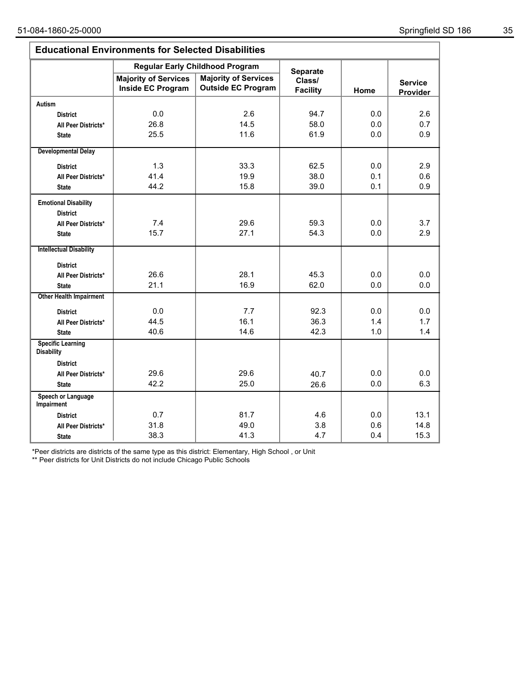| <b>Educational Environments for Selected Disabilities</b> |                                                  |                                                          |                           |      |                            |  |  |  |  |
|-----------------------------------------------------------|--------------------------------------------------|----------------------------------------------------------|---------------------------|------|----------------------------|--|--|--|--|
|                                                           |                                                  | <b>Regular Early Childhood Program</b>                   | <b>Separate</b>           |      |                            |  |  |  |  |
|                                                           | <b>Majority of Services</b><br>Inside EC Program | <b>Majority of Services</b><br><b>Outside EC Program</b> | Class/<br><b>Facility</b> | Home | <b>Service</b><br>Provider |  |  |  |  |
| <b>Autism</b>                                             |                                                  |                                                          |                           |      |                            |  |  |  |  |
| <b>District</b>                                           | 0.0                                              | 2.6                                                      | 94.7                      | 0.0  | 2.6                        |  |  |  |  |
| All Peer Districts*                                       | 26.8                                             | 14.5                                                     | 58.0                      | 0.0  | 0.7                        |  |  |  |  |
| <b>State</b>                                              | 25.5                                             | 11.6                                                     | 61.9                      | 0.0  | 0.9                        |  |  |  |  |
| <b>Developmental Delay</b>                                |                                                  |                                                          |                           |      |                            |  |  |  |  |
| <b>District</b>                                           | 1.3                                              | 33.3                                                     | 62.5                      | 0.0  | 2.9                        |  |  |  |  |
| All Peer Districts*                                       | 41.4                                             | 19.9                                                     | 38.0                      | 0.1  | 0.6                        |  |  |  |  |
| <b>State</b>                                              | 44.2                                             | 15.8                                                     | 39.0                      | 0.1  | 0.9                        |  |  |  |  |
| <b>Emotional Disability</b><br><b>District</b>            |                                                  |                                                          |                           |      |                            |  |  |  |  |
| All Peer Districts*                                       | 7.4                                              | 29.6                                                     | 59.3                      | 0.0  | 3.7                        |  |  |  |  |
| <b>State</b>                                              | 15.7                                             | 27.1                                                     | 54.3                      | 0.0  | 2.9                        |  |  |  |  |
| <b>Intellectual Disability</b>                            |                                                  |                                                          |                           |      |                            |  |  |  |  |
| <b>District</b>                                           |                                                  |                                                          |                           |      |                            |  |  |  |  |
| All Peer Districts*                                       | 26.6                                             | 28.1                                                     | 45.3                      | 0.0  | 0.0                        |  |  |  |  |
| <b>State</b>                                              | 21.1                                             | 16.9                                                     | 62.0                      | 0.0  | 0.0                        |  |  |  |  |
| <b>Other Health Impairment</b>                            |                                                  |                                                          |                           |      |                            |  |  |  |  |
| <b>District</b>                                           | 0.0                                              | 7.7                                                      | 92.3                      | 0.0  | 0.0                        |  |  |  |  |
| All Peer Districts*                                       | 44.5                                             | 16.1                                                     | 36.3                      | 1.4  | 1.7                        |  |  |  |  |
| <b>State</b>                                              | 40.6                                             | 14.6                                                     | 42.3                      | 1.0  | 1.4                        |  |  |  |  |
| <b>Specific Learning</b><br><b>Disability</b>             |                                                  |                                                          |                           |      |                            |  |  |  |  |
| <b>District</b>                                           |                                                  |                                                          |                           |      |                            |  |  |  |  |
| All Peer Districts*                                       | 29.6                                             | 29.6                                                     | 40.7                      | 0.0  | 0.0                        |  |  |  |  |
| <b>State</b>                                              | 42.2                                             | 25.0                                                     | 26.6                      | 0.0  | 6.3                        |  |  |  |  |
| Speech or Language<br>Impairment                          |                                                  |                                                          |                           |      |                            |  |  |  |  |
| <b>District</b>                                           | 0.7                                              | 81.7                                                     | 4.6                       | 0.0  | 13.1                       |  |  |  |  |
| All Peer Districts*                                       | 31.8                                             | 49.0                                                     | 3.8                       | 0.6  | 14.8                       |  |  |  |  |
| <b>State</b>                                              | 38.3                                             | 41.3                                                     | 4.7                       | 0.4  | 15.3                       |  |  |  |  |

\*Peer districts are districts of the same type as this district: Elementary, High School , or Unit

\*\* Peer districts for Unit Districts do not include Chicago Public Schools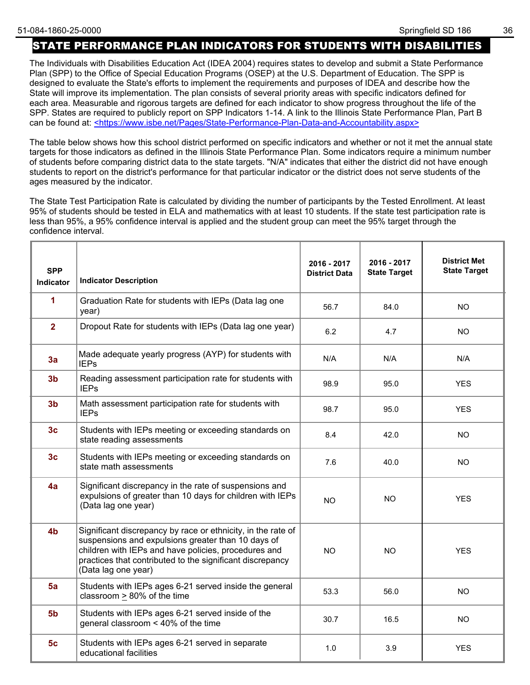## STATE PERFORMANCE PLAN INDICATORS FOR STUDENTS WITH DISABILITIES

The Individuals with Disabilities Education Act (IDEA 2004) requires states to develop and submit a State Performance Plan (SPP) to the Office of Special Education Programs (OSEP) at the U.S. Department of Education. The SPP is designed to evaluate the State's efforts to implement the requirements and purposes of IDEA and describe how the State will improve its implementation. The plan consists of several priority areas with specific indicators defined for each area. Measurable and rigorous targets are defined for each indicator to show progress throughout the life of the SPP. States are required to publicly report on SPP Indicators 1-14. A link to the Illinois State Performance Plan, Part B can be found at: <https://www.isbe.net/Pages/State-Performance-Plan-Data-and-Accountability.aspx>

The table below shows how this school district performed on specific indicators and whether or not it met the annual state targets for those indicators as defined in the Illinois State Performance Plan. Some indicators require a minimum number of students before comparing district data to the state targets. "N/A" indicates that either the district did not have enough students to report on the district's performance for that particular indicator or the district does not serve students of the ages measured by the indicator.

The State Test Participation Rate is calculated by dividing the number of participants by the Tested Enrollment. At least 95% of students should be tested in ELA and mathematics with at least 10 students. If the state test participation rate is less than 95%, a 95% confidence interval is applied and the student group can meet the 95% target through the confidence interval.

| <b>SPP</b><br><b>Indicator</b> | <b>Indicator Description</b>                                                                                                                                                                                                                                   | 2016 - 2017<br><b>District Data</b> | 2016 - 2017<br><b>State Target</b> | <b>District Met</b><br><b>State Target</b> |
|--------------------------------|----------------------------------------------------------------------------------------------------------------------------------------------------------------------------------------------------------------------------------------------------------------|-------------------------------------|------------------------------------|--------------------------------------------|
| 1                              | Graduation Rate for students with IEPs (Data lag one<br>year)                                                                                                                                                                                                  | 56.7                                | 84.0                               | NO.                                        |
| $\overline{2}$                 | Dropout Rate for students with IEPs (Data lag one year)                                                                                                                                                                                                        | 6.2                                 | 4.7                                | <b>NO</b>                                  |
| 3a                             | Made adequate yearly progress (AYP) for students with<br><b>IEPs</b>                                                                                                                                                                                           | N/A                                 | N/A                                | N/A                                        |
| 3 <sub>b</sub>                 | Reading assessment participation rate for students with<br><b>IEPs</b>                                                                                                                                                                                         | 98.9                                | 95.0                               | <b>YES</b>                                 |
| 3 <sub>b</sub>                 | Math assessment participation rate for students with<br><b>IEPs</b>                                                                                                                                                                                            | 98.7                                | 95.0                               | <b>YES</b>                                 |
| 3 <sub>c</sub>                 | Students with IEPs meeting or exceeding standards on<br>state reading assessments                                                                                                                                                                              | 8.4                                 | 42.0                               | NO.                                        |
| 3 <sub>c</sub>                 | Students with IEPs meeting or exceeding standards on<br>state math assessments                                                                                                                                                                                 | 7.6                                 | 40.0                               | NO.                                        |
| 4a                             | Significant discrepancy in the rate of suspensions and<br>expulsions of greater than 10 days for children with IEPs<br>(Data lag one year)                                                                                                                     | NO.                                 | <b>NO</b>                          | <b>YES</b>                                 |
| 4 <sub>b</sub>                 | Significant discrepancy by race or ethnicity, in the rate of<br>suspensions and expulsions greater than 10 days of<br>children with IEPs and have policies, procedures and<br>practices that contributed to the significant discrepancy<br>(Data lag one year) | NO.                                 | <b>NO</b>                          | <b>YES</b>                                 |
| 5a                             | Students with IEPs ages 6-21 served inside the general<br>classroom > 80% of the time                                                                                                                                                                          | 53.3                                | 56.0                               | NO.                                        |
| 5 <sub>b</sub>                 | Students with IEPs ages 6-21 served inside of the<br>general classroom < 40% of the time                                                                                                                                                                       | 30.7                                | 16.5                               | NO.                                        |
| 5 <sub>c</sub>                 | Students with IEPs ages 6-21 served in separate<br>educational facilities                                                                                                                                                                                      | 1.0                                 | 3.9                                | <b>YES</b>                                 |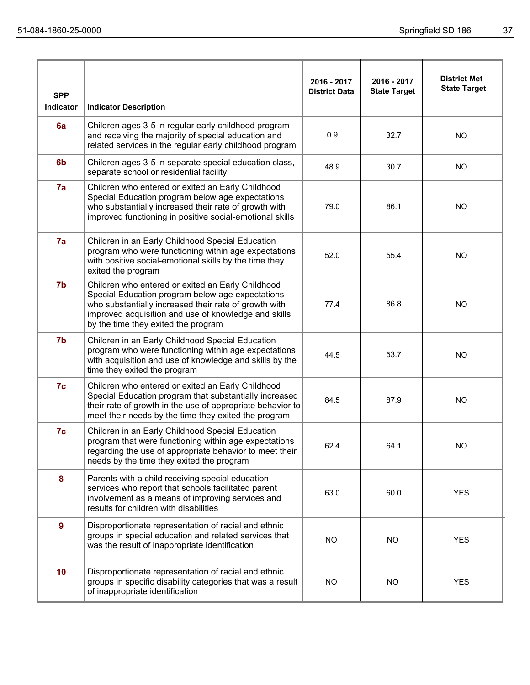| <b>SPP</b><br>Indicator | <b>Indicator Description</b>                                                                                                                                                                                                                                  | 2016 - 2017<br><b>District Data</b> | 2016 - 2017<br><b>State Target</b> | <b>District Met</b><br><b>State Target</b> |
|-------------------------|---------------------------------------------------------------------------------------------------------------------------------------------------------------------------------------------------------------------------------------------------------------|-------------------------------------|------------------------------------|--------------------------------------------|
| 6a                      | Children ages 3-5 in regular early childhood program<br>and receiving the majority of special education and<br>related services in the regular early childhood program                                                                                        | 0.9                                 | 32.7                               | <b>NO</b>                                  |
| 6 <sub>b</sub>          | Children ages 3-5 in separate special education class,<br>separate school or residential facility                                                                                                                                                             | 48.9                                | 30.7                               | <b>NO</b>                                  |
| 7a                      | Children who entered or exited an Early Childhood<br>Special Education program below age expectations<br>who substantially increased their rate of growth with<br>improved functioning in positive social-emotional skills                                    | 79.0                                | 86.1                               | <b>NO</b>                                  |
| 7a                      | Children in an Early Childhood Special Education<br>program who were functioning within age expectations<br>with positive social-emotional skills by the time they<br>exited the program                                                                      | 52.0                                | 55.4                               | <b>NO</b>                                  |
| 7b                      | Children who entered or exited an Early Childhood<br>Special Education program below age expectations<br>who substantially increased their rate of growth with<br>improved acquisition and use of knowledge and skills<br>by the time they exited the program | 77.4                                | 86.8                               | <b>NO</b>                                  |
| 7 <sub>b</sub>          | Children in an Early Childhood Special Education<br>program who were functioning within age expectations<br>with acquisition and use of knowledge and skills by the<br>time they exited the program                                                           | 44.5                                | 53.7                               | <b>NO</b>                                  |
| 7c                      | Children who entered or exited an Early Childhood<br>Special Education program that substantially increased<br>their rate of growth in the use of appropriate behavior to<br>meet their needs by the time they exited the program                             | 84.5                                | 87.9                               | <b>NO</b>                                  |
| 7c                      | Children in an Early Childhood Special Education<br>program that were functioning within age expectations<br>regarding the use of appropriate behavior to meet their<br>needs by the time they exited the program                                             | 62.4                                | 64.1                               | <b>NO</b>                                  |
| 8                       | Parents with a child receiving special education<br>services who report that schools facilitated parent<br>involvement as a means of improving services and<br>results for children with disabilities                                                         | 63.0                                | 60.0                               | <b>YES</b>                                 |
| $\overline{9}$          | Disproportionate representation of racial and ethnic<br>groups in special education and related services that<br>was the result of inappropriate identification                                                                                               | <b>NO</b>                           | <b>NO</b>                          | <b>YES</b>                                 |
| 10 <sub>1</sub>         | Disproportionate representation of racial and ethnic<br>groups in specific disability categories that was a result<br>of inappropriate identification                                                                                                         | <b>NO</b>                           | <b>NO</b>                          | <b>YES</b>                                 |